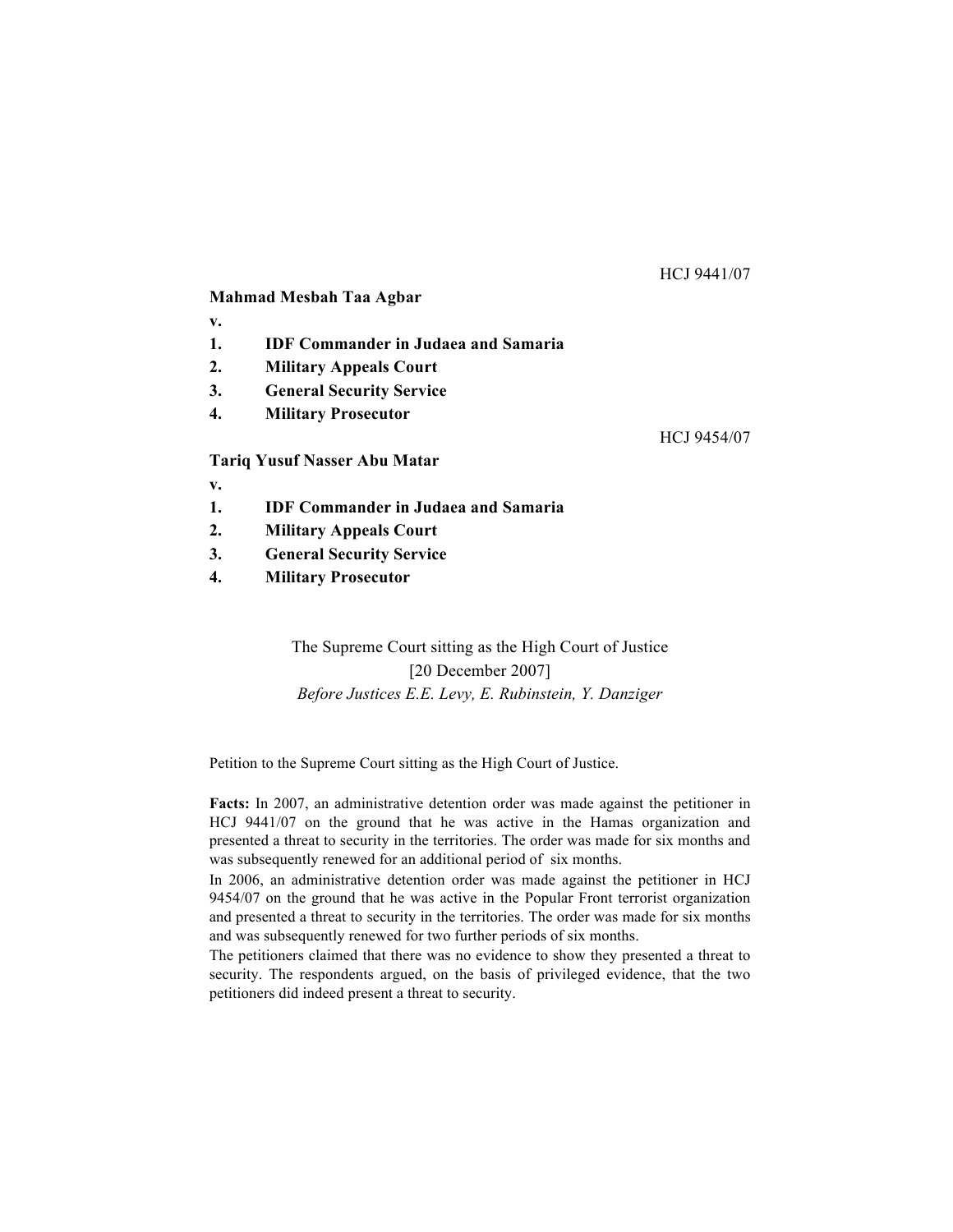# HCJ 9441/07

# **Mahmad Mesbah Taa Agbar**

- **v.**
- **1. IDF Commander in Judaea and Samaria**
- **2. Military Appeals Court**
- **3. General Security Service**
- **4. Military Prosecutor**

HCJ 9454/07

# **Tariq Yusuf Nasser Abu Matar**

**v.**

- **1. IDF Commander in Judaea and Samaria**
- **2. Military Appeals Court**
- **3. General Security Service**
- **4. Military Prosecutor**

The Supreme Court sitting as the High Court of Justice [20 December 2007] *Before Justices E.E. Levy, E. Rubinstein, Y. Danziger*

Petition to the Supreme Court sitting as the High Court of Justice.

**Facts:** In 2007, an administrative detention order was made against the petitioner in HCJ 9441/07 on the ground that he was active in the Hamas organization and presented a threat to security in the territories. The order was made for six months and was subsequently renewed for an additional period of six months.

In 2006, an administrative detention order was made against the petitioner in HCJ 9454/07 on the ground that he was active in the Popular Front terrorist organization and presented a threat to security in the territories. The order was made for six months and was subsequently renewed for two further periods of six months.

The petitioners claimed that there was no evidence to show they presented a threat to security. The respondents argued, on the basis of privileged evidence, that the two petitioners did indeed present a threat to security.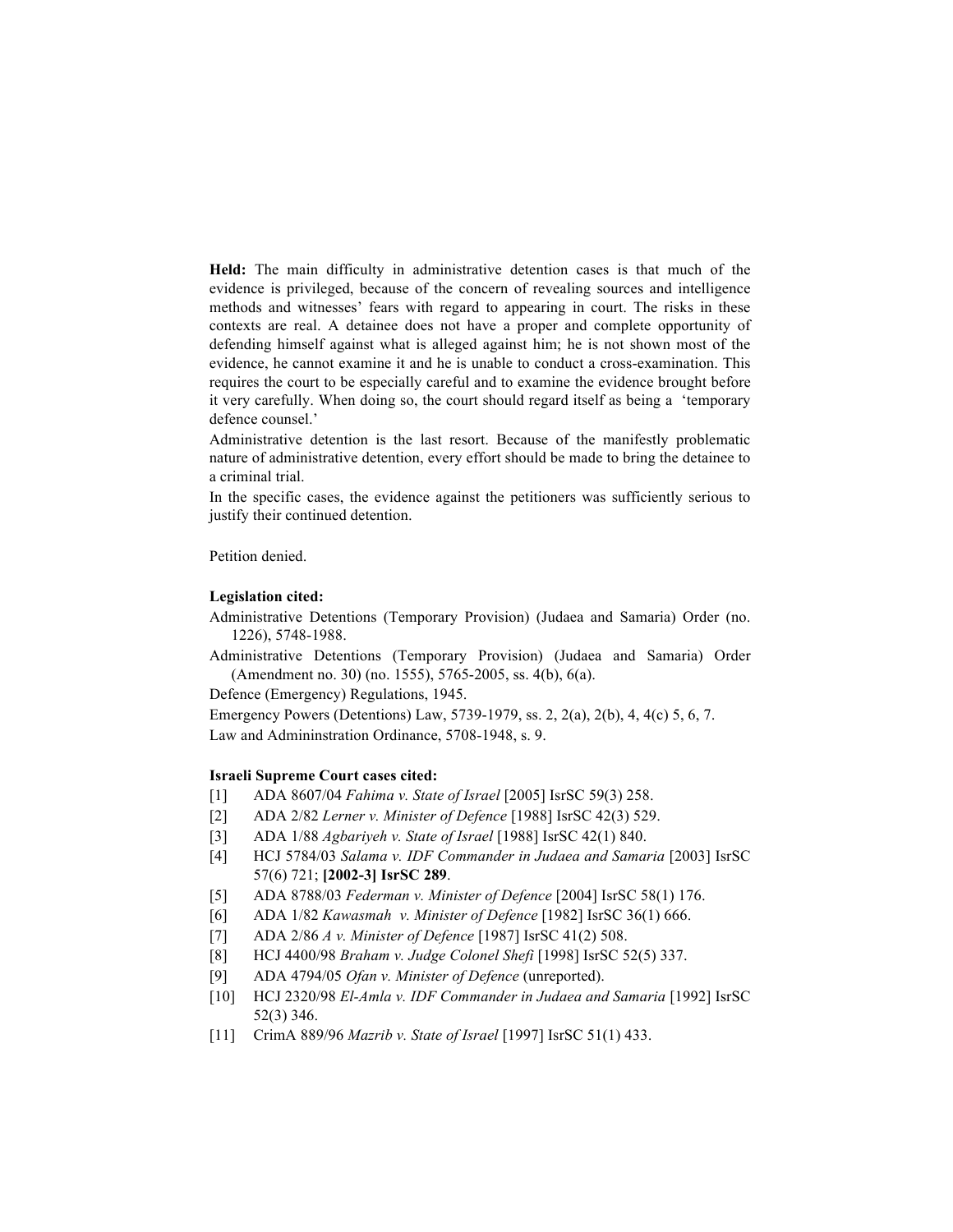**Held:** The main difficulty in administrative detention cases is that much of the evidence is privileged, because of the concern of revealing sources and intelligence methods and witnesses' fears with regard to appearing in court. The risks in these contexts are real. A detainee does not have a proper and complete opportunity of defending himself against what is alleged against him; he is not shown most of the evidence, he cannot examine it and he is unable to conduct a cross-examination. This requires the court to be especially careful and to examine the evidence brought before it very carefully. When doing so, the court should regard itself as being a 'temporary defence counsel.'

Administrative detention is the last resort. Because of the manifestly problematic nature of administrative detention, every effort should be made to bring the detainee to a criminal trial.

In the specific cases, the evidence against the petitioners was sufficiently serious to justify their continued detention.

Petition denied.

#### **Legislation cited:**

Administrative Detentions (Temporary Provision) (Judaea and Samaria) Order (no. 1226), 5748-1988.

Administrative Detentions (Temporary Provision) (Judaea and Samaria) Order (Amendment no. 30) (no. 1555), 5765-2005, ss. 4(b), 6(a).

Defence (Emergency) Regulations, 1945.

Emergency Powers (Detentions) Law, 5739-1979, ss. 2, 2(a), 2(b), 4, 4(c) 5, 6, 7. Law and Admininstration Ordinance, 5708-1948, s. 9.

#### **Israeli Supreme Court cases cited:**

- [1] ADA 8607/04 *Fahima v. State of Israel* [2005] IsrSC 59(3) 258.
- [2] ADA 2/82 *Lerner v. Minister of Defence* [1988] IsrSC 42(3) 529.
- [3] ADA 1/88 *Agbariyeh v. State of Israel* [1988] IsrSC 42(1) 840.
- [4] HCJ 5784/03 *Salama v. IDF Commander in Judaea and Samaria* [2003] IsrSC 57(6) 721; **[2002-3] IsrSC 289**.
- [5] ADA 8788/03 *Federman v. Minister of Defence* [2004] IsrSC 58(1) 176.
- [6] ADA 1/82 *Kawasmah v. Minister of Defence* [1982] IsrSC 36(1) 666.
- [7] ADA 2/86 *A v. Minister of Defence* [1987] IsrSC 41(2) 508.
- [8] HCJ 4400/98 *Braham v. Judge Colonel Shefi* [1998] IsrSC 52(5) 337.
- [9] ADA 4794/05 *Ofan v. Minister of Defence* (unreported).
- [10] HCJ 2320/98 *El-Amla v. IDF Commander in Judaea and Samaria* [1992] IsrSC 52(3) 346.
- [11] CrimA 889/96 *Mazrib v. State of Israel* [1997] IsrSC 51(1) 433.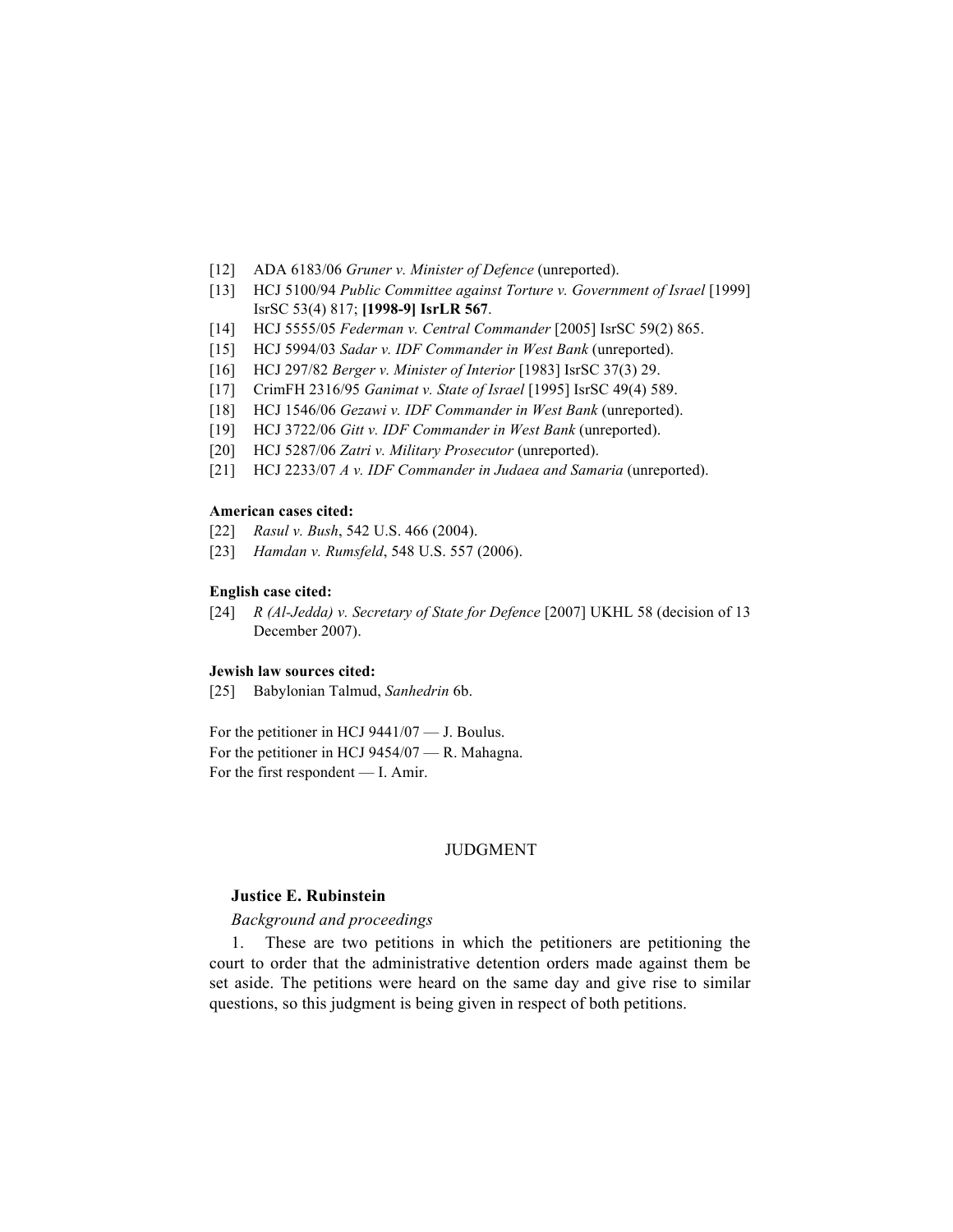- [12] ADA 6183/06 *Gruner v. Minister of Defence* (unreported).
- [13] HCJ 5100/94 *Public Committee against Torture v. Government of Israel* [1999] IsrSC 53(4) 817; **[1998-9] IsrLR 567**.
- [14] HCJ 5555/05 *Federman v. Central Commander* [2005] IsrSC 59(2) 865.
- [15] HCJ 5994/03 *Sadar v. IDF Commander in West Bank* (unreported).
- [16] HCJ 297/82 *Berger v. Minister of Interior* [1983] IsrSC 37(3) 29.
- [17] CrimFH 2316/95 *Ganimat v. State of Israel* [1995] IsrSC 49(4) 589.
- [18] HCJ 1546/06 *Gezawi v. IDF Commander in West Bank* (unreported).
- [19] HCJ 3722/06 *Gitt v. IDF Commander in West Bank* (unreported).
- [20] HCJ 5287/06 *Zatri v. Military Prosecutor* (unreported).
- [21] HCJ 2233/07 *A v. IDF Commander in Judaea and Samaria* (unreported).

#### **American cases cited:**

- [22] *Rasul v. Bush*, 542 U.S. 466 (2004).
- [23] *Hamdan v. Rumsfeld*, 548 U.S. 557 (2006).

#### **English case cited:**

[24] *R (Al-Jedda) v. Secretary of State for Defence* [2007] UKHL 58 (decision of 13 December 2007).

#### **Jewish law sources cited:**

[25] Babylonian Talmud, *Sanhedrin* 6b.

For the petitioner in HCJ 9441/07 — J. Boulus. For the petitioner in HCJ 9454/07 — R. Mahagna. For the first respondent — I. Amir.

### JUDGMENT

#### **Justice E. Rubinstein**

#### *Background and proceedings*

1. These are two petitions in which the petitioners are petitioning the court to order that the administrative detention orders made against them be set aside. The petitions were heard on the same day and give rise to similar questions, so this judgment is being given in respect of both petitions.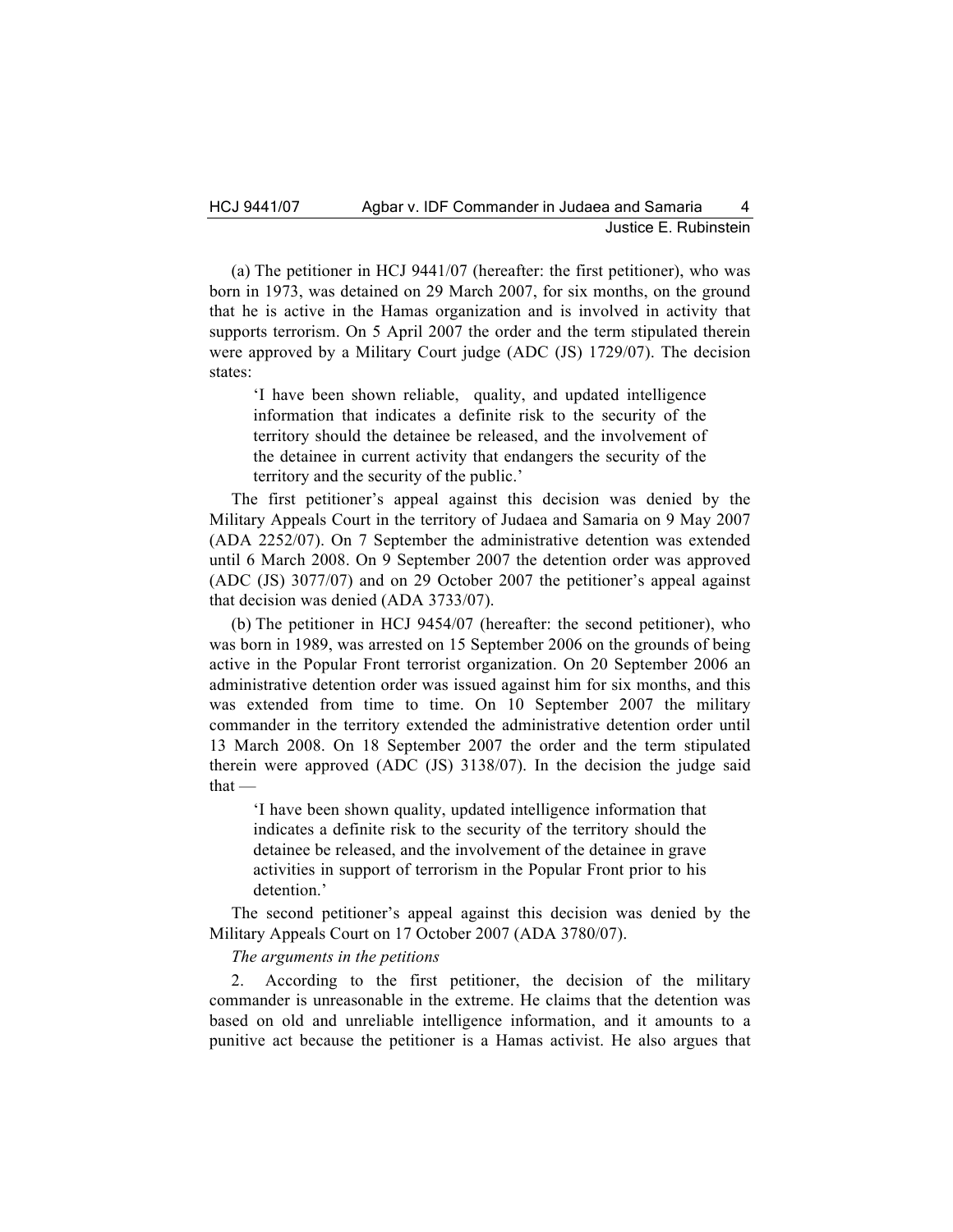(a) The petitioner in HCJ 9441/07 (hereafter: the first petitioner), who was born in 1973, was detained on 29 March 2007, for six months, on the ground that he is active in the Hamas organization and is involved in activity that supports terrorism. On 5 April 2007 the order and the term stipulated therein were approved by a Military Court judge (ADC (JS) 1729/07). The decision states:

'I have been shown reliable, quality, and updated intelligence information that indicates a definite risk to the security of the territory should the detainee be released, and the involvement of the detainee in current activity that endangers the security of the territory and the security of the public.'

The first petitioner's appeal against this decision was denied by the Military Appeals Court in the territory of Judaea and Samaria on 9 May 2007 (ADA 2252/07). On 7 September the administrative detention was extended until 6 March 2008. On 9 September 2007 the detention order was approved (ADC (JS) 3077/07) and on 29 October 2007 the petitioner's appeal against that decision was denied (ADA 3733/07).

(b) The petitioner in HCJ 9454/07 (hereafter: the second petitioner), who was born in 1989, was arrested on 15 September 2006 on the grounds of being active in the Popular Front terrorist organization. On 20 September 2006 an administrative detention order was issued against him for six months, and this was extended from time to time. On 10 September 2007 the military commander in the territory extended the administrative detention order until 13 March 2008. On 18 September 2007 the order and the term stipulated therein were approved (ADC (JS) 3138/07). In the decision the judge said  $that -$ 

'I have been shown quality, updated intelligence information that indicates a definite risk to the security of the territory should the detainee be released, and the involvement of the detainee in grave activities in support of terrorism in the Popular Front prior to his detention.'

The second petitioner's appeal against this decision was denied by the Military Appeals Court on 17 October 2007 (ADA 3780/07).

*The arguments in the petitions*

2. According to the first petitioner, the decision of the military commander is unreasonable in the extreme. He claims that the detention was based on old and unreliable intelligence information, and it amounts to a punitive act because the petitioner is a Hamas activist. He also argues that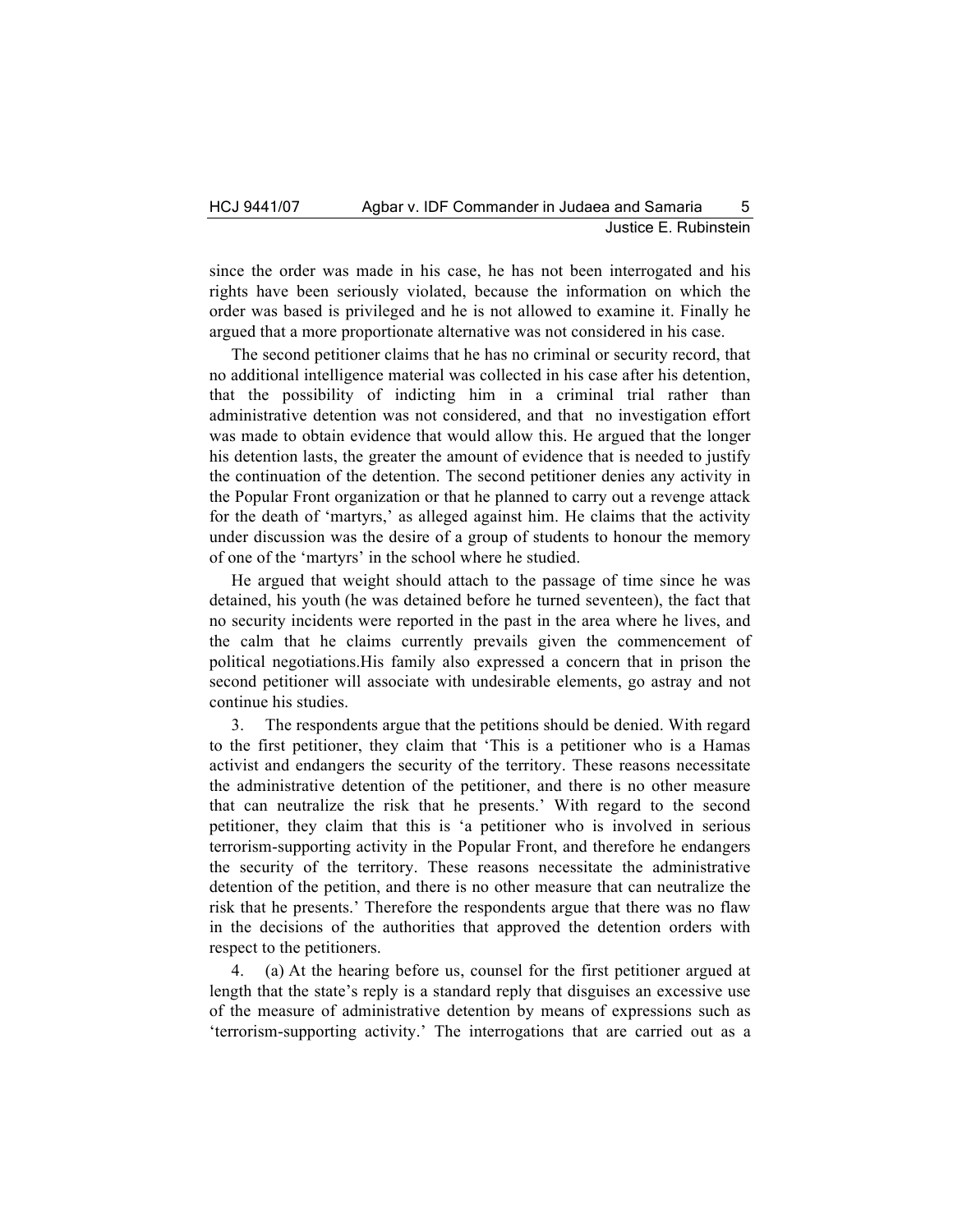since the order was made in his case, he has not been interrogated and his rights have been seriously violated, because the information on which the order was based is privileged and he is not allowed to examine it. Finally he argued that a more proportionate alternative was not considered in his case.

The second petitioner claims that he has no criminal or security record, that no additional intelligence material was collected in his case after his detention, that the possibility of indicting him in a criminal trial rather than administrative detention was not considered, and that no investigation effort was made to obtain evidence that would allow this. He argued that the longer his detention lasts, the greater the amount of evidence that is needed to justify the continuation of the detention. The second petitioner denies any activity in the Popular Front organization or that he planned to carry out a revenge attack for the death of 'martyrs,' as alleged against him. He claims that the activity under discussion was the desire of a group of students to honour the memory of one of the 'martyrs' in the school where he studied.

He argued that weight should attach to the passage of time since he was detained, his youth (he was detained before he turned seventeen), the fact that no security incidents were reported in the past in the area where he lives, and the calm that he claims currently prevails given the commencement of political negotiations.His family also expressed a concern that in prison the second petitioner will associate with undesirable elements, go astray and not continue his studies.

3. The respondents argue that the petitions should be denied. With regard to the first petitioner, they claim that 'This is a petitioner who is a Hamas activist and endangers the security of the territory. These reasons necessitate the administrative detention of the petitioner, and there is no other measure that can neutralize the risk that he presents.' With regard to the second petitioner, they claim that this is 'a petitioner who is involved in serious terrorism-supporting activity in the Popular Front, and therefore he endangers the security of the territory. These reasons necessitate the administrative detention of the petition, and there is no other measure that can neutralize the risk that he presents.' Therefore the respondents argue that there was no flaw in the decisions of the authorities that approved the detention orders with respect to the petitioners.

4. (a) At the hearing before us, counsel for the first petitioner argued at length that the state's reply is a standard reply that disguises an excessive use of the measure of administrative detention by means of expressions such as 'terrorism-supporting activity.' The interrogations that are carried out as a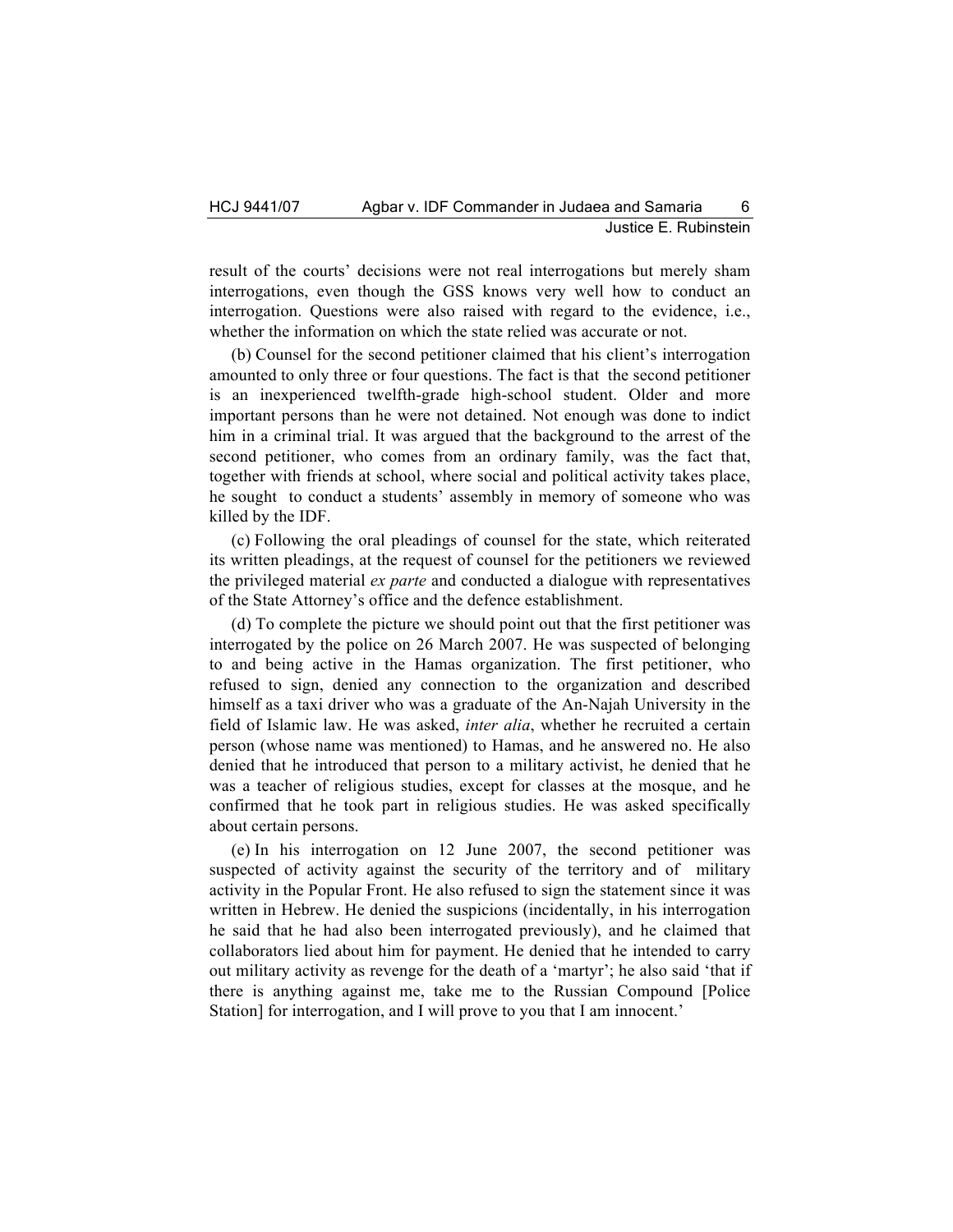result of the courts' decisions were not real interrogations but merely sham interrogations, even though the GSS knows very well how to conduct an interrogation. Questions were also raised with regard to the evidence, i.e., whether the information on which the state relied was accurate or not.

(b) Counsel for the second petitioner claimed that his client's interrogation amounted to only three or four questions. The fact is that the second petitioner is an inexperienced twelfth-grade high-school student. Older and more important persons than he were not detained. Not enough was done to indict him in a criminal trial. It was argued that the background to the arrest of the second petitioner, who comes from an ordinary family, was the fact that, together with friends at school, where social and political activity takes place, he sought to conduct a students' assembly in memory of someone who was killed by the IDF.

(c) Following the oral pleadings of counsel for the state, which reiterated its written pleadings, at the request of counsel for the petitioners we reviewed the privileged material *ex parte* and conducted a dialogue with representatives of the State Attorney's office and the defence establishment.

(d) To complete the picture we should point out that the first petitioner was interrogated by the police on 26 March 2007. He was suspected of belonging to and being active in the Hamas organization. The first petitioner, who refused to sign, denied any connection to the organization and described himself as a taxi driver who was a graduate of the An-Najah University in the field of Islamic law. He was asked, *inter alia*, whether he recruited a certain person (whose name was mentioned) to Hamas, and he answered no. He also denied that he introduced that person to a military activist, he denied that he was a teacher of religious studies, except for classes at the mosque, and he confirmed that he took part in religious studies. He was asked specifically about certain persons.

(e) In his interrogation on 12 June 2007, the second petitioner was suspected of activity against the security of the territory and of military activity in the Popular Front. He also refused to sign the statement since it was written in Hebrew. He denied the suspicions (incidentally, in his interrogation he said that he had also been interrogated previously), and he claimed that collaborators lied about him for payment. He denied that he intended to carry out military activity as revenge for the death of a 'martyr'; he also said 'that if there is anything against me, take me to the Russian Compound [Police Station] for interrogation, and I will prove to you that I am innocent.'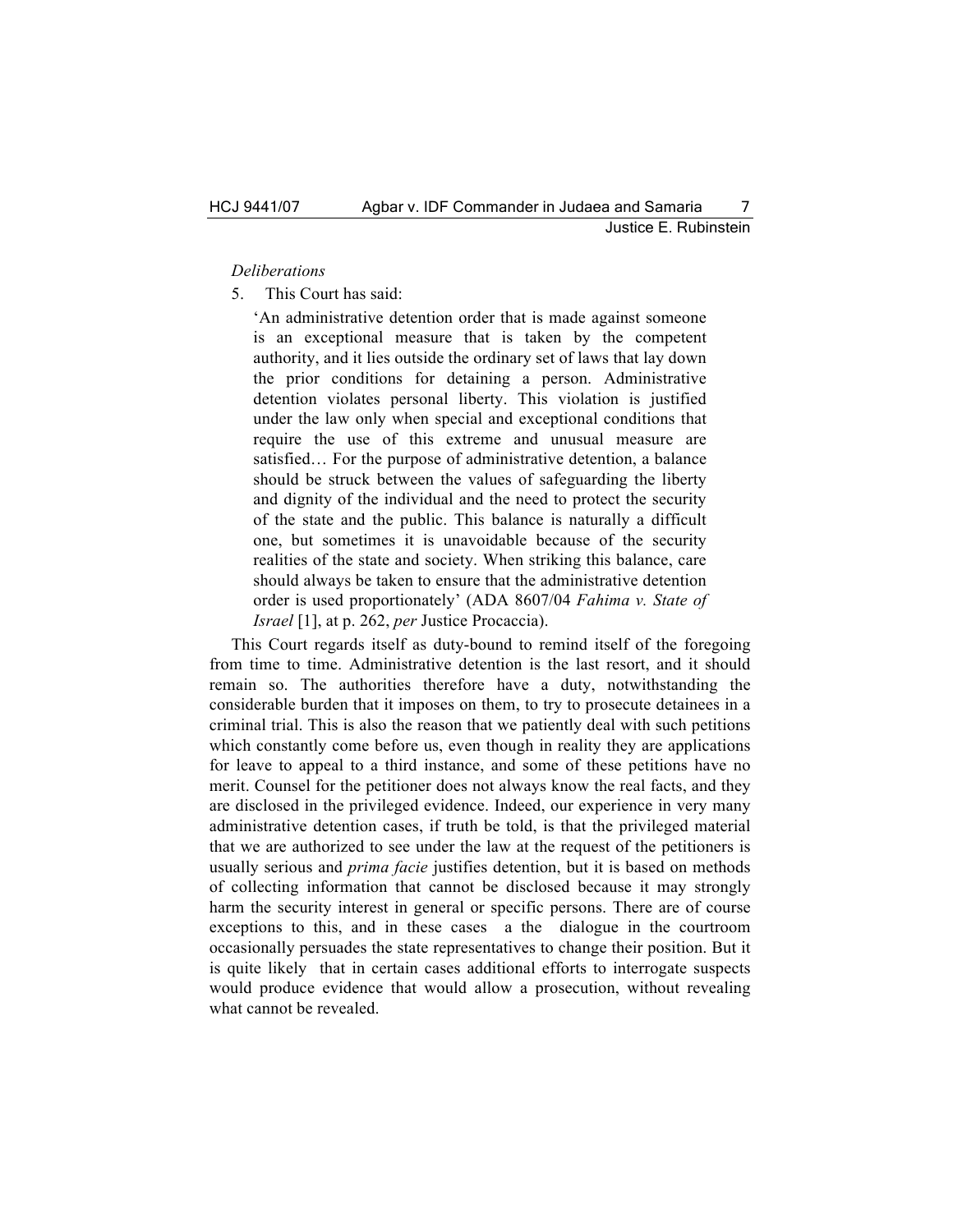#### *Deliberations*

5. This Court has said:

'An administrative detention order that is made against someone is an exceptional measure that is taken by the competent authority, and it lies outside the ordinary set of laws that lay down the prior conditions for detaining a person. Administrative detention violates personal liberty. This violation is justified under the law only when special and exceptional conditions that require the use of this extreme and unusual measure are satisfied… For the purpose of administrative detention, a balance should be struck between the values of safeguarding the liberty and dignity of the individual and the need to protect the security of the state and the public. This balance is naturally a difficult one, but sometimes it is unavoidable because of the security realities of the state and society. When striking this balance, care should always be taken to ensure that the administrative detention order is used proportionately' (ADA 8607/04 *Fahima v. State of Israel* [1], at p. 262, *per* Justice Procaccia).

This Court regards itself as duty-bound to remind itself of the foregoing from time to time. Administrative detention is the last resort, and it should remain so. The authorities therefore have a duty, notwithstanding the considerable burden that it imposes on them, to try to prosecute detainees in a criminal trial. This is also the reason that we patiently deal with such petitions which constantly come before us, even though in reality they are applications for leave to appeal to a third instance, and some of these petitions have no merit. Counsel for the petitioner does not always know the real facts, and they are disclosed in the privileged evidence. Indeed, our experience in very many administrative detention cases, if truth be told, is that the privileged material that we are authorized to see under the law at the request of the petitioners is usually serious and *prima facie* justifies detention, but it is based on methods of collecting information that cannot be disclosed because it may strongly harm the security interest in general or specific persons. There are of course exceptions to this, and in these cases a the dialogue in the courtroom occasionally persuades the state representatives to change their position. But it is quite likely that in certain cases additional efforts to interrogate suspects would produce evidence that would allow a prosecution, without revealing what cannot be revealed.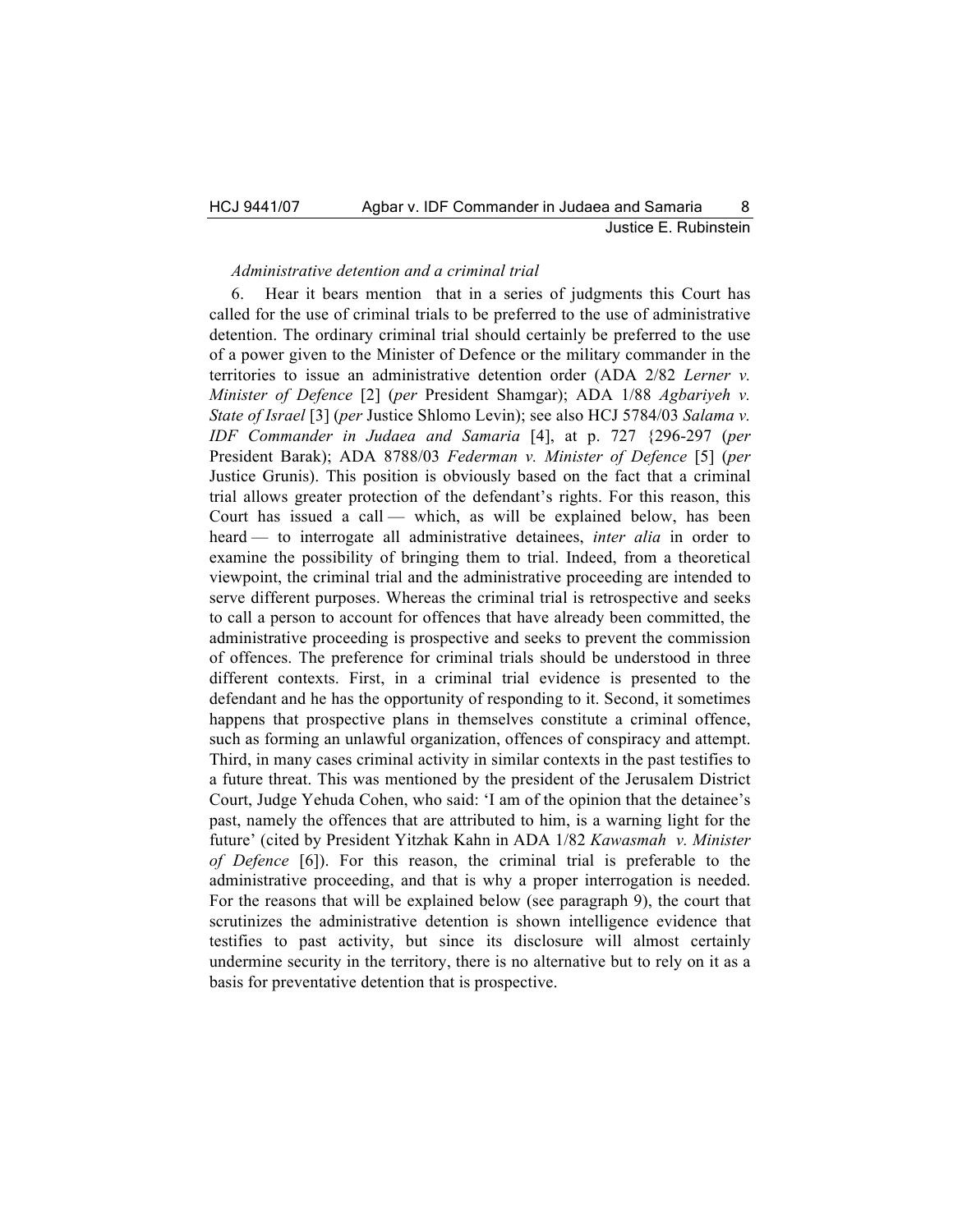#### *Administrative detention and a criminal trial*

6. Hear it bears mention that in a series of judgments this Court has called for the use of criminal trials to be preferred to the use of administrative detention. The ordinary criminal trial should certainly be preferred to the use of a power given to the Minister of Defence or the military commander in the territories to issue an administrative detention order (ADA 2/82 *Lerner v. Minister of Defence* [2] (*per* President Shamgar); ADA 1/88 *Agbariyeh v. State of Israel* [3] (*per* Justice Shlomo Levin); see also HCJ 5784/03 *Salama v. IDF Commander in Judaea and Samaria* [4], at p. 727 {296-297 (*per*  President Barak); ADA 8788/03 *Federman v. Minister of Defence* [5] (*per*  Justice Grunis). This position is obviously based on the fact that a criminal trial allows greater protection of the defendant's rights. For this reason, this Court has issued a call — which, as will be explained below, has been heard — to interrogate all administrative detainees, *inter alia* in order to examine the possibility of bringing them to trial. Indeed, from a theoretical viewpoint, the criminal trial and the administrative proceeding are intended to serve different purposes. Whereas the criminal trial is retrospective and seeks to call a person to account for offences that have already been committed, the administrative proceeding is prospective and seeks to prevent the commission of offences. The preference for criminal trials should be understood in three different contexts. First, in a criminal trial evidence is presented to the defendant and he has the opportunity of responding to it. Second, it sometimes happens that prospective plans in themselves constitute a criminal offence, such as forming an unlawful organization, offences of conspiracy and attempt. Third, in many cases criminal activity in similar contexts in the past testifies to a future threat. This was mentioned by the president of the Jerusalem District Court, Judge Yehuda Cohen, who said: 'I am of the opinion that the detainee's past, namely the offences that are attributed to him, is a warning light for the future' (cited by President Yitzhak Kahn in ADA 1/82 *Kawasmah v. Minister of Defence* [6]). For this reason, the criminal trial is preferable to the administrative proceeding, and that is why a proper interrogation is needed. For the reasons that will be explained below (see paragraph 9), the court that scrutinizes the administrative detention is shown intelligence evidence that testifies to past activity, but since its disclosure will almost certainly undermine security in the territory, there is no alternative but to rely on it as a basis for preventative detention that is prospective.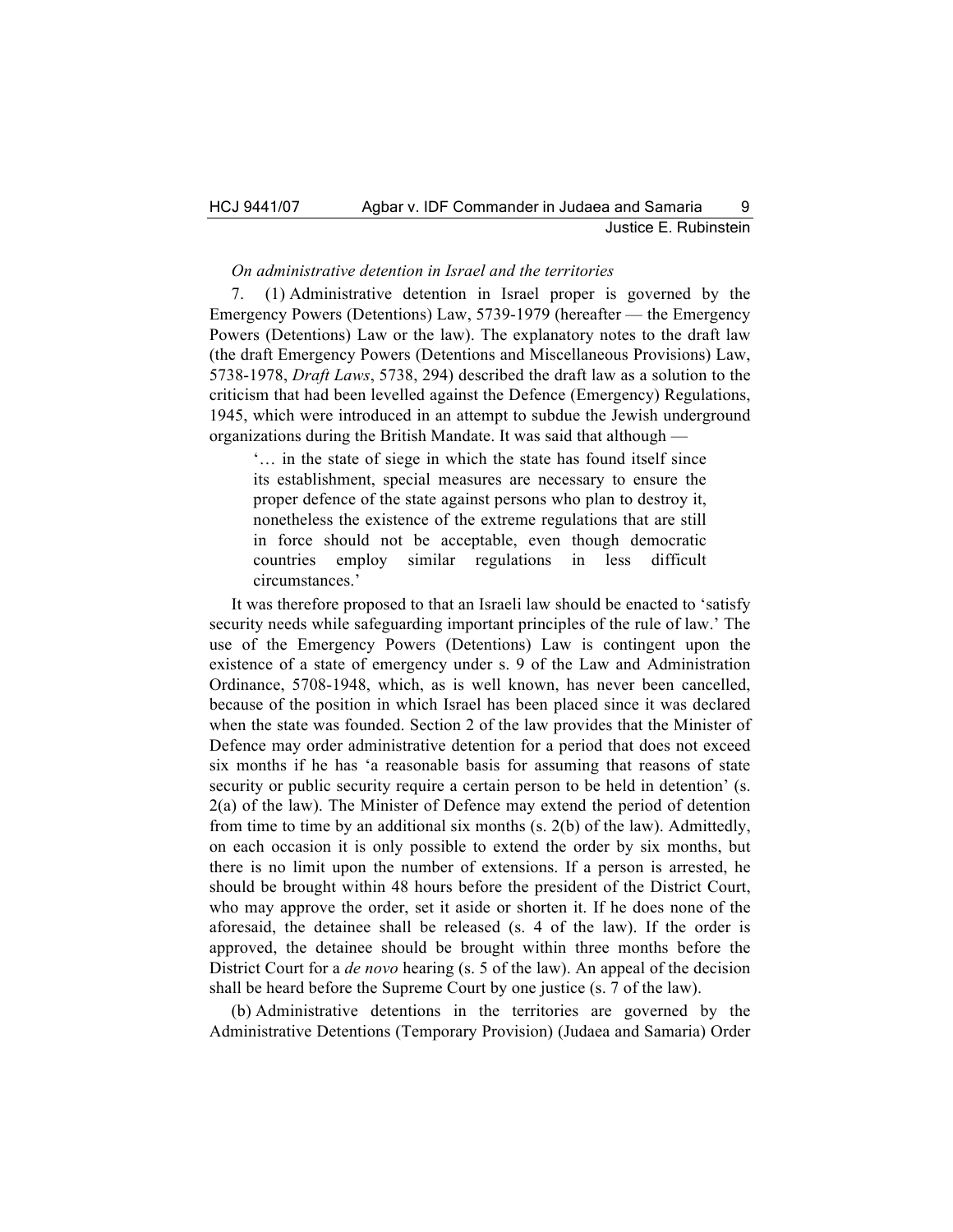#### *On administrative detention in Israel and the territories*

7. (1) Administrative detention in Israel proper is governed by the Emergency Powers (Detentions) Law, 5739-1979 (hereafter — the Emergency Powers (Detentions) Law or the law). The explanatory notes to the draft law (the draft Emergency Powers (Detentions and Miscellaneous Provisions) Law, 5738-1978, *Draft Laws*, 5738, 294) described the draft law as a solution to the criticism that had been levelled against the Defence (Emergency) Regulations, 1945, which were introduced in an attempt to subdue the Jewish underground organizations during the British Mandate. It was said that although —

'… in the state of siege in which the state has found itself since its establishment, special measures are necessary to ensure the proper defence of the state against persons who plan to destroy it, nonetheless the existence of the extreme regulations that are still in force should not be acceptable, even though democratic countries employ similar regulations in less difficult circumstances.'

It was therefore proposed to that an Israeli law should be enacted to 'satisfy security needs while safeguarding important principles of the rule of law.' The use of the Emergency Powers (Detentions) Law is contingent upon the existence of a state of emergency under s. 9 of the Law and Administration Ordinance, 5708-1948, which, as is well known, has never been cancelled, because of the position in which Israel has been placed since it was declared when the state was founded. Section 2 of the law provides that the Minister of Defence may order administrative detention for a period that does not exceed six months if he has 'a reasonable basis for assuming that reasons of state security or public security require a certain person to be held in detention' (s. 2(a) of the law). The Minister of Defence may extend the period of detention from time to time by an additional six months (s. 2(b) of the law). Admittedly, on each occasion it is only possible to extend the order by six months, but there is no limit upon the number of extensions. If a person is arrested, he should be brought within 48 hours before the president of the District Court, who may approve the order, set it aside or shorten it. If he does none of the aforesaid, the detainee shall be released (s. 4 of the law). If the order is approved, the detainee should be brought within three months before the District Court for a *de novo* hearing (s. 5 of the law). An appeal of the decision shall be heard before the Supreme Court by one justice (s. 7 of the law).

(b) Administrative detentions in the territories are governed by the Administrative Detentions (Temporary Provision) (Judaea and Samaria) Order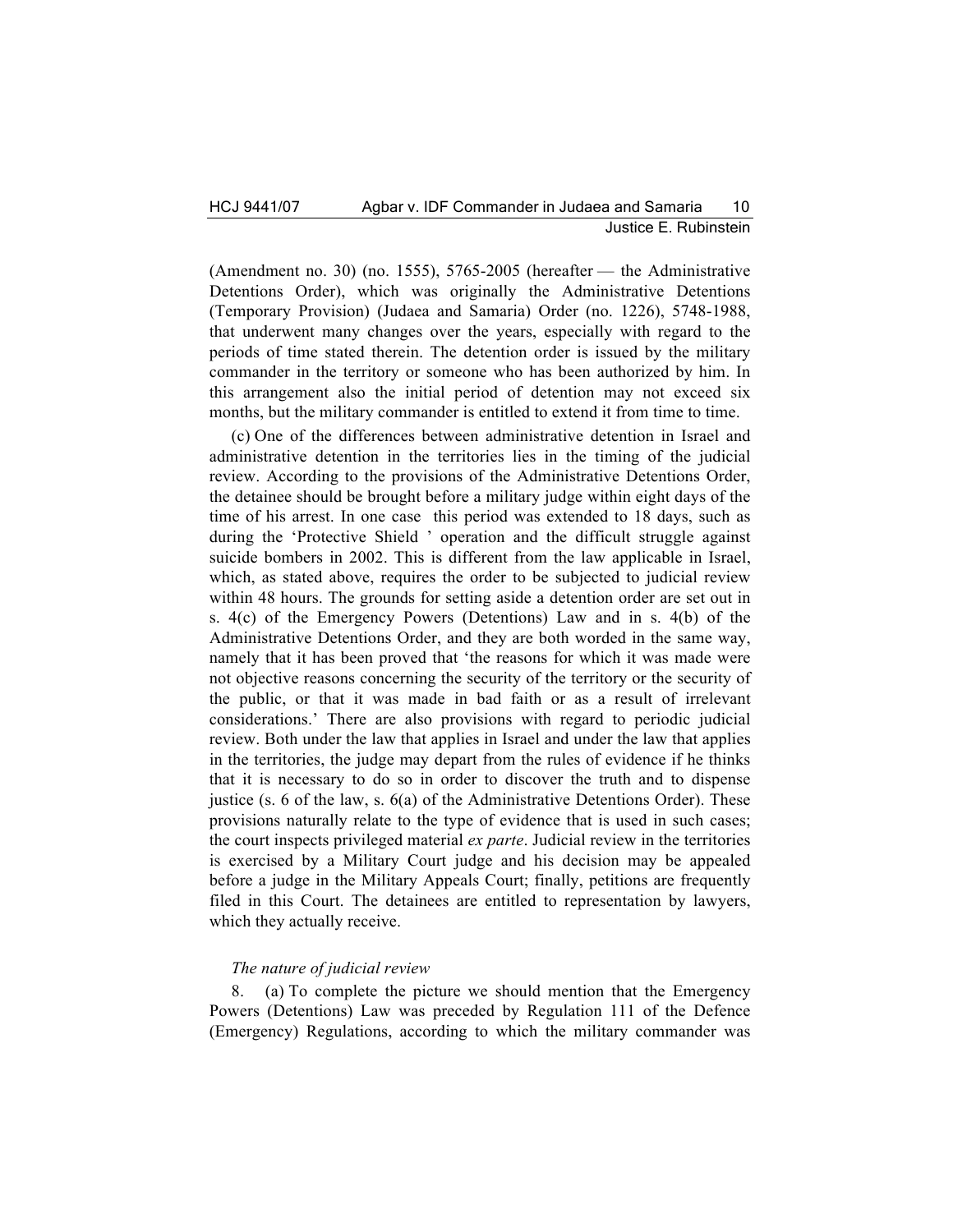(Amendment no. 30) (no. 1555), 5765-2005 (hereafter — the Administrative Detentions Order), which was originally the Administrative Detentions (Temporary Provision) (Judaea and Samaria) Order (no. 1226), 5748-1988, that underwent many changes over the years, especially with regard to the periods of time stated therein. The detention order is issued by the military commander in the territory or someone who has been authorized by him. In this arrangement also the initial period of detention may not exceed six months, but the military commander is entitled to extend it from time to time.

(c) One of the differences between administrative detention in Israel and administrative detention in the territories lies in the timing of the judicial review. According to the provisions of the Administrative Detentions Order, the detainee should be brought before a military judge within eight days of the time of his arrest. In one case this period was extended to 18 days, such as during the 'Protective Shield ' operation and the difficult struggle against suicide bombers in 2002. This is different from the law applicable in Israel, which, as stated above, requires the order to be subjected to judicial review within 48 hours. The grounds for setting aside a detention order are set out in s. 4(c) of the Emergency Powers (Detentions) Law and in s. 4(b) of the Administrative Detentions Order, and they are both worded in the same way, namely that it has been proved that 'the reasons for which it was made were not objective reasons concerning the security of the territory or the security of the public, or that it was made in bad faith or as a result of irrelevant considerations.' There are also provisions with regard to periodic judicial review. Both under the law that applies in Israel and under the law that applies in the territories, the judge may depart from the rules of evidence if he thinks that it is necessary to do so in order to discover the truth and to dispense justice (s. 6 of the law, s.  $6(a)$  of the Administrative Detentions Order). These provisions naturally relate to the type of evidence that is used in such cases; the court inspects privileged material *ex parte*. Judicial review in the territories is exercised by a Military Court judge and his decision may be appealed before a judge in the Military Appeals Court; finally, petitions are frequently filed in this Court. The detainees are entitled to representation by lawyers, which they actually receive.

# *The nature of judicial review*

8. (a) To complete the picture we should mention that the Emergency Powers (Detentions) Law was preceded by Regulation 111 of the Defence (Emergency) Regulations, according to which the military commander was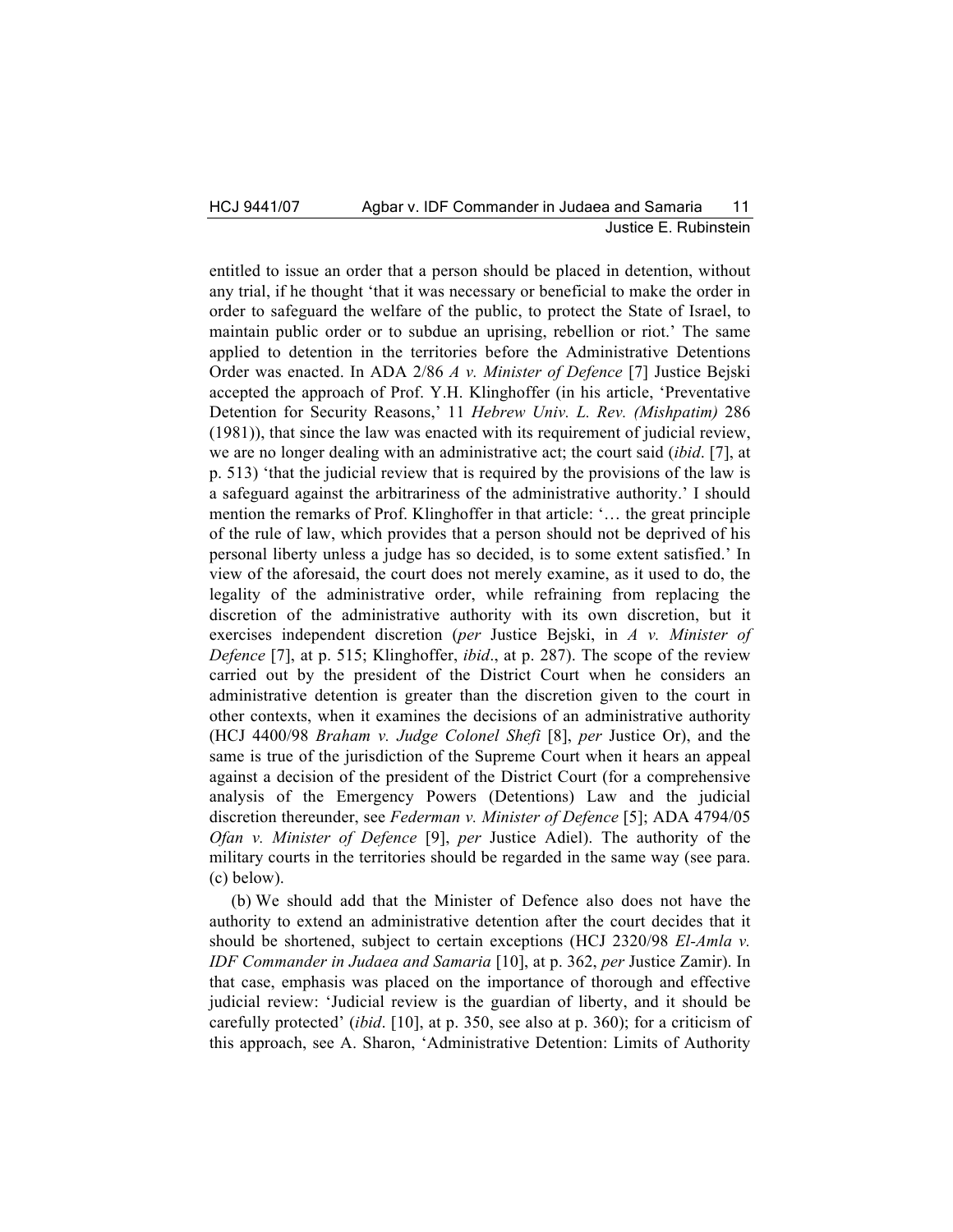## HCJ 9441/07 Agbar v. IDF Commander in Judaea and Samaria 11 Justice E. Rubinstein

entitled to issue an order that a person should be placed in detention, without any trial, if he thought 'that it was necessary or beneficial to make the order in order to safeguard the welfare of the public, to protect the State of Israel, to maintain public order or to subdue an uprising, rebellion or riot.' The same applied to detention in the territories before the Administrative Detentions Order was enacted. In ADA 2/86 *A v. Minister of Defence* [7] Justice Bejski accepted the approach of Prof. Y.H. Klinghoffer (in his article, 'Preventative Detention for Security Reasons,' 11 *Hebrew Univ. L. Rev. (Mishpatim)* 286 (1981)), that since the law was enacted with its requirement of judicial review, we are no longer dealing with an administrative act; the court said (*ibid*. [7], at p. 513) 'that the judicial review that is required by the provisions of the law is a safeguard against the arbitrariness of the administrative authority.' I should mention the remarks of Prof. Klinghoffer in that article: '… the great principle of the rule of law, which provides that a person should not be deprived of his personal liberty unless a judge has so decided, is to some extent satisfied.' In view of the aforesaid, the court does not merely examine, as it used to do, the legality of the administrative order, while refraining from replacing the discretion of the administrative authority with its own discretion, but it exercises independent discretion (*per* Justice Bejski, in *A v. Minister of Defence* [7], at p. 515; Klinghoffer, *ibid*., at p. 287). The scope of the review carried out by the president of the District Court when he considers an administrative detention is greater than the discretion given to the court in other contexts, when it examines the decisions of an administrative authority (HCJ 4400/98 *Braham v. Judge Colonel Shefi* [8], *per* Justice Or), and the same is true of the jurisdiction of the Supreme Court when it hears an appeal against a decision of the president of the District Court (for a comprehensive analysis of the Emergency Powers (Detentions) Law and the judicial discretion thereunder, see *Federman v. Minister of Defence* [5]; ADA 4794/05 *Ofan v. Minister of Defence* [9], *per* Justice Adiel). The authority of the military courts in the territories should be regarded in the same way (see para. (c) below).

(b) We should add that the Minister of Defence also does not have the authority to extend an administrative detention after the court decides that it should be shortened, subject to certain exceptions (HCJ 2320/98 *El-Amla v. IDF Commander in Judaea and Samaria* [10], at p. 362, *per* Justice Zamir). In that case, emphasis was placed on the importance of thorough and effective judicial review: 'Judicial review is the guardian of liberty, and it should be carefully protected' (*ibid*. [10], at p. 350, see also at p. 360); for a criticism of this approach, see A. Sharon, 'Administrative Detention: Limits of Authority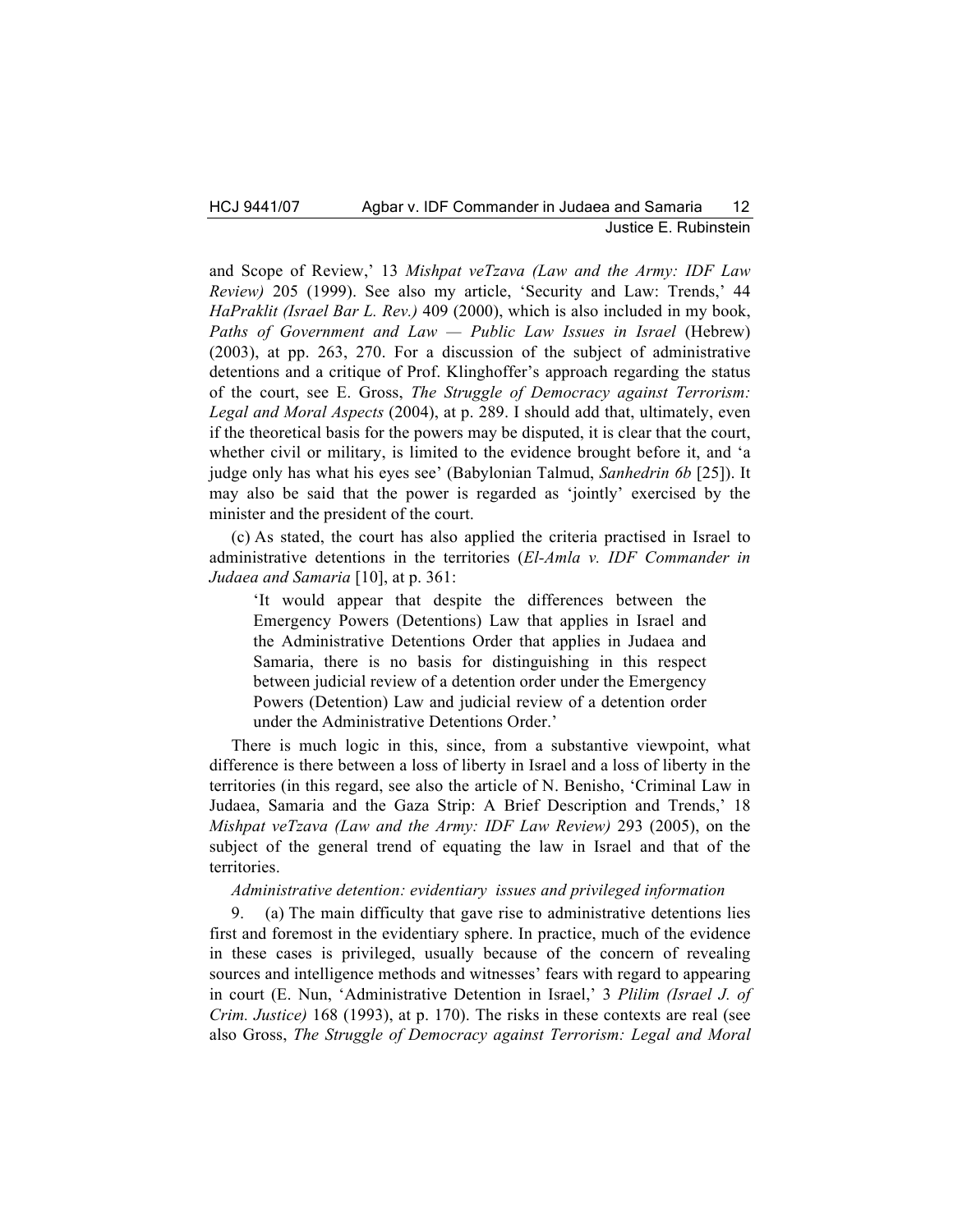and Scope of Review,' 13 *Mishpat veTzava (Law and the Army: IDF Law Review)* 205 (1999). See also my article, 'Security and Law: Trends,' 44 *HaPraklit (Israel Bar L. Rev.)* 409 (2000), which is also included in my book, *Paths of Government and Law — Public Law Issues in Israel* (Hebrew) (2003), at pp. 263, 270. For a discussion of the subject of administrative detentions and a critique of Prof. Klinghoffer's approach regarding the status of the court, see E. Gross, *The Struggle of Democracy against Terrorism: Legal and Moral Aspects* (2004), at p. 289. I should add that, ultimately, even if the theoretical basis for the powers may be disputed, it is clear that the court, whether civil or military, is limited to the evidence brought before it, and 'a judge only has what his eyes see' (Babylonian Talmud, *Sanhedrin 6b* [25]). It may also be said that the power is regarded as 'jointly' exercised by the minister and the president of the court.

(c) As stated, the court has also applied the criteria practised in Israel to administrative detentions in the territories (*El-Amla v. IDF Commander in Judaea and Samaria* [10], at p. 361:

'It would appear that despite the differences between the Emergency Powers (Detentions) Law that applies in Israel and the Administrative Detentions Order that applies in Judaea and Samaria, there is no basis for distinguishing in this respect between judicial review of a detention order under the Emergency Powers (Detention) Law and judicial review of a detention order under the Administrative Detentions Order.'

There is much logic in this, since, from a substantive viewpoint, what difference is there between a loss of liberty in Israel and a loss of liberty in the territories (in this regard, see also the article of N. Benisho, 'Criminal Law in Judaea, Samaria and the Gaza Strip: A Brief Description and Trends,' 18 *Mishpat veTzava (Law and the Army: IDF Law Review)* 293 (2005), on the subject of the general trend of equating the law in Israel and that of the territories.

*Administrative detention: evidentiary issues and privileged information*

9. (a) The main difficulty that gave rise to administrative detentions lies first and foremost in the evidentiary sphere. In practice, much of the evidence in these cases is privileged, usually because of the concern of revealing sources and intelligence methods and witnesses' fears with regard to appearing in court (E. Nun, 'Administrative Detention in Israel,' 3 *Plilim (Israel J. of Crim. Justice)* 168 (1993), at p. 170). The risks in these contexts are real (see also Gross, *The Struggle of Democracy against Terrorism: Legal and Moral*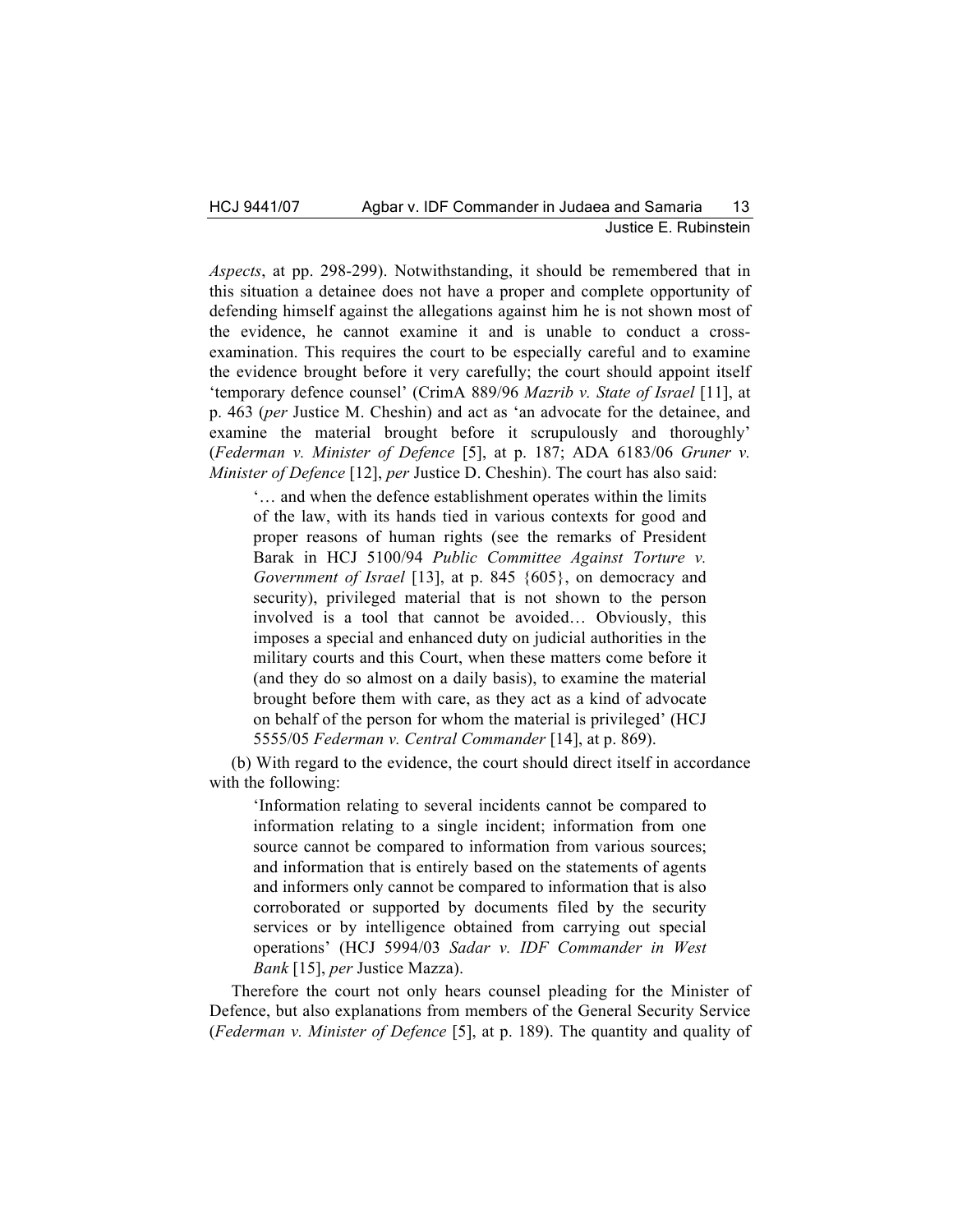*Aspects*, at pp. 298-299). Notwithstanding, it should be remembered that in this situation a detainee does not have a proper and complete opportunity of defending himself against the allegations against him he is not shown most of the evidence, he cannot examine it and is unable to conduct a crossexamination. This requires the court to be especially careful and to examine the evidence brought before it very carefully; the court should appoint itself 'temporary defence counsel' (CrimA 889/96 *Mazrib v. State of Israel* [11], at p. 463 (*per* Justice M. Cheshin) and act as 'an advocate for the detainee, and examine the material brought before it scrupulously and thoroughly' (*Federman v. Minister of Defence* [5], at p. 187; ADA 6183/06 *Gruner v. Minister of Defence* [12], *per* Justice D. Cheshin). The court has also said:

'… and when the defence establishment operates within the limits of the law, with its hands tied in various contexts for good and proper reasons of human rights (see the remarks of President Barak in HCJ 5100/94 *Public Committee Against Torture v. Government of Israel* [13], at p. 845 {605}, on democracy and security), privileged material that is not shown to the person involved is a tool that cannot be avoided… Obviously, this imposes a special and enhanced duty on judicial authorities in the military courts and this Court, when these matters come before it (and they do so almost on a daily basis), to examine the material brought before them with care, as they act as a kind of advocate on behalf of the person for whom the material is privileged' (HCJ 5555/05 *Federman v. Central Commander* [14], at p. 869).

(b) With regard to the evidence, the court should direct itself in accordance with the following:

'Information relating to several incidents cannot be compared to information relating to a single incident; information from one source cannot be compared to information from various sources; and information that is entirely based on the statements of agents and informers only cannot be compared to information that is also corroborated or supported by documents filed by the security services or by intelligence obtained from carrying out special operations' (HCJ 5994/03 *Sadar v. IDF Commander in West Bank* [15], *per* Justice Mazza).

Therefore the court not only hears counsel pleading for the Minister of Defence, but also explanations from members of the General Security Service (*Federman v. Minister of Defence* [5], at p. 189). The quantity and quality of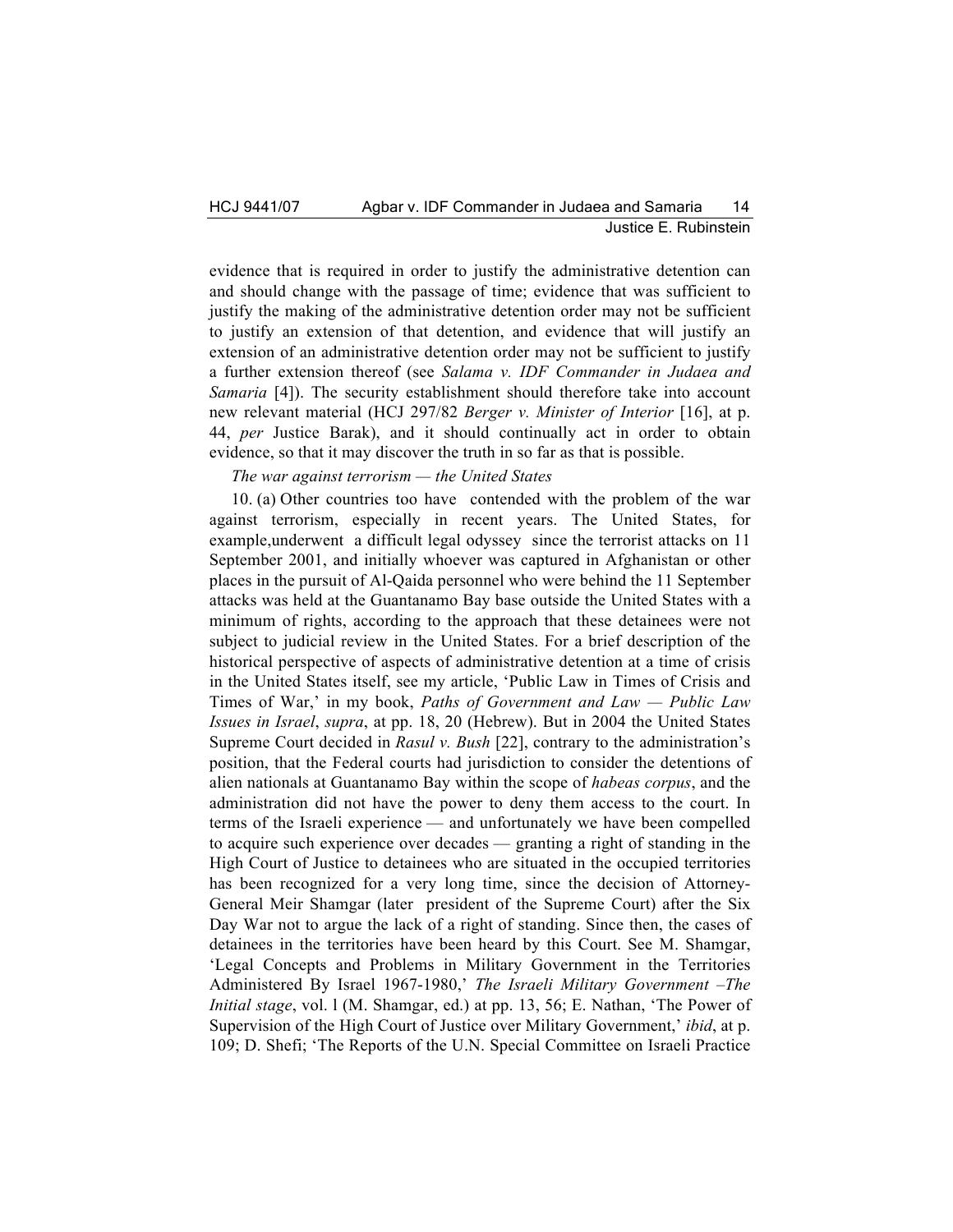evidence that is required in order to justify the administrative detention can and should change with the passage of time; evidence that was sufficient to justify the making of the administrative detention order may not be sufficient to justify an extension of that detention, and evidence that will justify an extension of an administrative detention order may not be sufficient to justify a further extension thereof (see *Salama v. IDF Commander in Judaea and Samaria* [4]). The security establishment should therefore take into account new relevant material (HCJ 297/82 *Berger v. Minister of Interior* [16], at p. 44, *per* Justice Barak), and it should continually act in order to obtain evidence, so that it may discover the truth in so far as that is possible.

# *The war against terrorism — the United States*

10. (a) Other countries too have contended with the problem of the war against terrorism, especially in recent years. The United States, for example,underwent a difficult legal odyssey since the terrorist attacks on 11 September 2001, and initially whoever was captured in Afghanistan or other places in the pursuit of Al-Qaida personnel who were behind the 11 September attacks was held at the Guantanamo Bay base outside the United States with a minimum of rights, according to the approach that these detainees were not subject to judicial review in the United States. For a brief description of the historical perspective of aspects of administrative detention at a time of crisis in the United States itself, see my article, 'Public Law in Times of Crisis and Times of War,' in my book, *Paths of Government and Law — Public Law Issues in Israel*, *supra*, at pp. 18, 20 (Hebrew). But in 2004 the United States Supreme Court decided in *Rasul v. Bush* [22], contrary to the administration's position, that the Federal courts had jurisdiction to consider the detentions of alien nationals at Guantanamo Bay within the scope of *habeas corpus*, and the administration did not have the power to deny them access to the court. In terms of the Israeli experience — and unfortunately we have been compelled to acquire such experience over decades — granting a right of standing in the High Court of Justice to detainees who are situated in the occupied territories has been recognized for a very long time, since the decision of Attorney-General Meir Shamgar (later president of the Supreme Court) after the Six Day War not to argue the lack of a right of standing. Since then, the cases of detainees in the territories have been heard by this Court. See M. Shamgar, 'Legal Concepts and Problems in Military Government in the Territories Administered By Israel 1967-1980,' *The Israeli Military Government –The Initial stage*, vol. l (M. Shamgar, ed.) at pp. 13, 56; E. Nathan, 'The Power of Supervision of the High Court of Justice over Military Government,' *ibid*, at p. 109; D. Shefi; 'The Reports of the U.N. Special Committee on Israeli Practice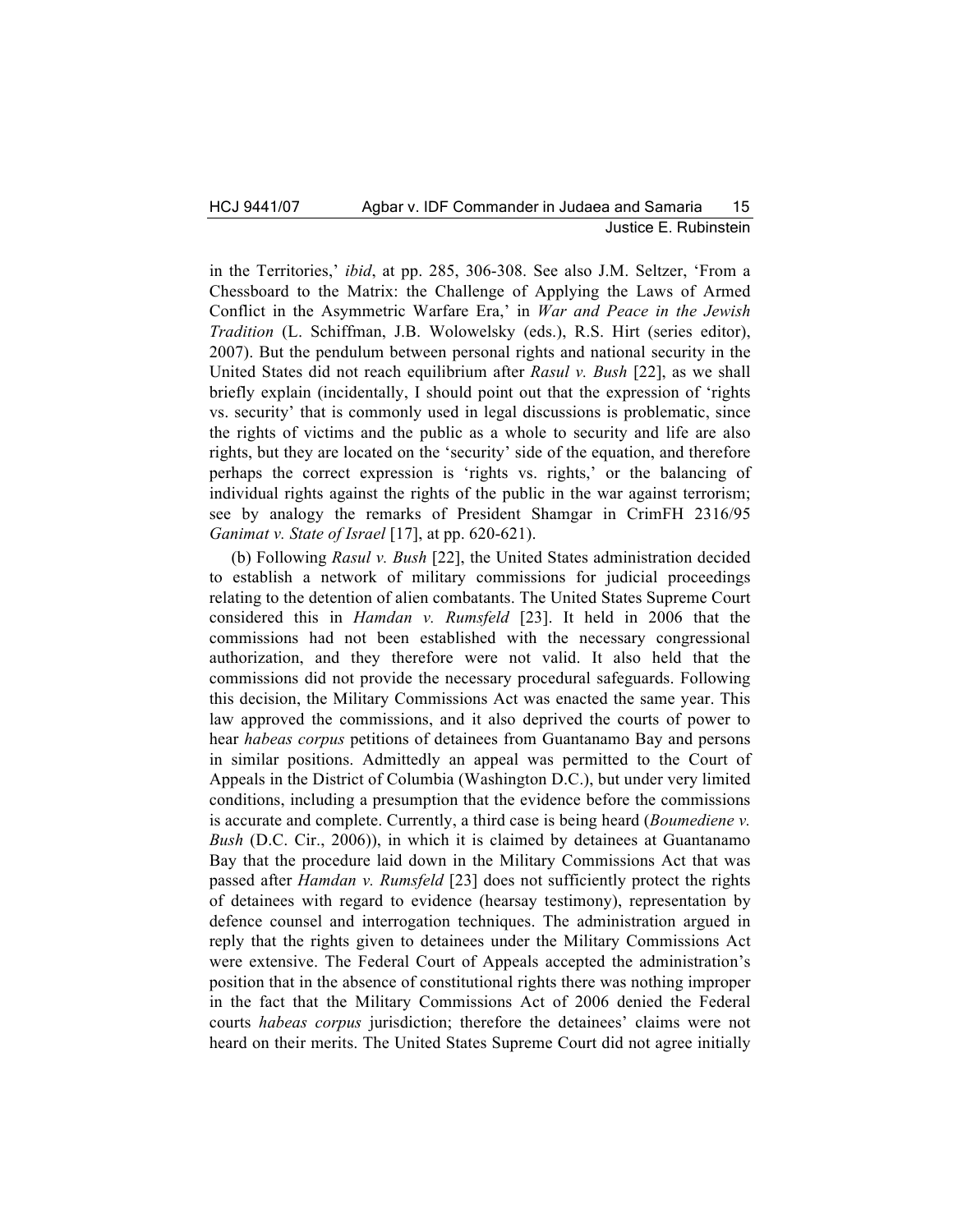in the Territories,' *ibid*, at pp. 285, 306-308. See also J.M. Seltzer, 'From a Chessboard to the Matrix: the Challenge of Applying the Laws of Armed Conflict in the Asymmetric Warfare Era,' in *War and Peace in the Jewish Tradition* (L. Schiffman, J.B. Wolowelsky (eds.), R.S. Hirt (series editor), 2007). But the pendulum between personal rights and national security in the United States did not reach equilibrium after *Rasul v. Bush* [22], as we shall briefly explain (incidentally, I should point out that the expression of 'rights vs. security' that is commonly used in legal discussions is problematic, since the rights of victims and the public as a whole to security and life are also rights, but they are located on the 'security' side of the equation, and therefore perhaps the correct expression is 'rights vs. rights,' or the balancing of individual rights against the rights of the public in the war against terrorism; see by analogy the remarks of President Shamgar in CrimFH 2316/95 *Ganimat v. State of Israel* [17], at pp. 620-621).

(b) Following *Rasul v. Bush* [22], the United States administration decided to establish a network of military commissions for judicial proceedings relating to the detention of alien combatants. The United States Supreme Court considered this in *Hamdan v. Rumsfeld* [23]. It held in 2006 that the commissions had not been established with the necessary congressional authorization, and they therefore were not valid. It also held that the commissions did not provide the necessary procedural safeguards. Following this decision, the Military Commissions Act was enacted the same year. This law approved the commissions, and it also deprived the courts of power to hear *habeas corpus* petitions of detainees from Guantanamo Bay and persons in similar positions. Admittedly an appeal was permitted to the Court of Appeals in the District of Columbia (Washington D.C.), but under very limited conditions, including a presumption that the evidence before the commissions is accurate and complete. Currently, a third case is being heard (*Boumediene v. Bush* (D.C. Cir., 2006)), in which it is claimed by detainees at Guantanamo Bay that the procedure laid down in the Military Commissions Act that was passed after *Hamdan v. Rumsfeld* [23] does not sufficiently protect the rights of detainees with regard to evidence (hearsay testimony), representation by defence counsel and interrogation techniques. The administration argued in reply that the rights given to detainees under the Military Commissions Act were extensive. The Federal Court of Appeals accepted the administration's position that in the absence of constitutional rights there was nothing improper in the fact that the Military Commissions Act of 2006 denied the Federal courts *habeas corpus* jurisdiction; therefore the detainees' claims were not heard on their merits. The United States Supreme Court did not agree initially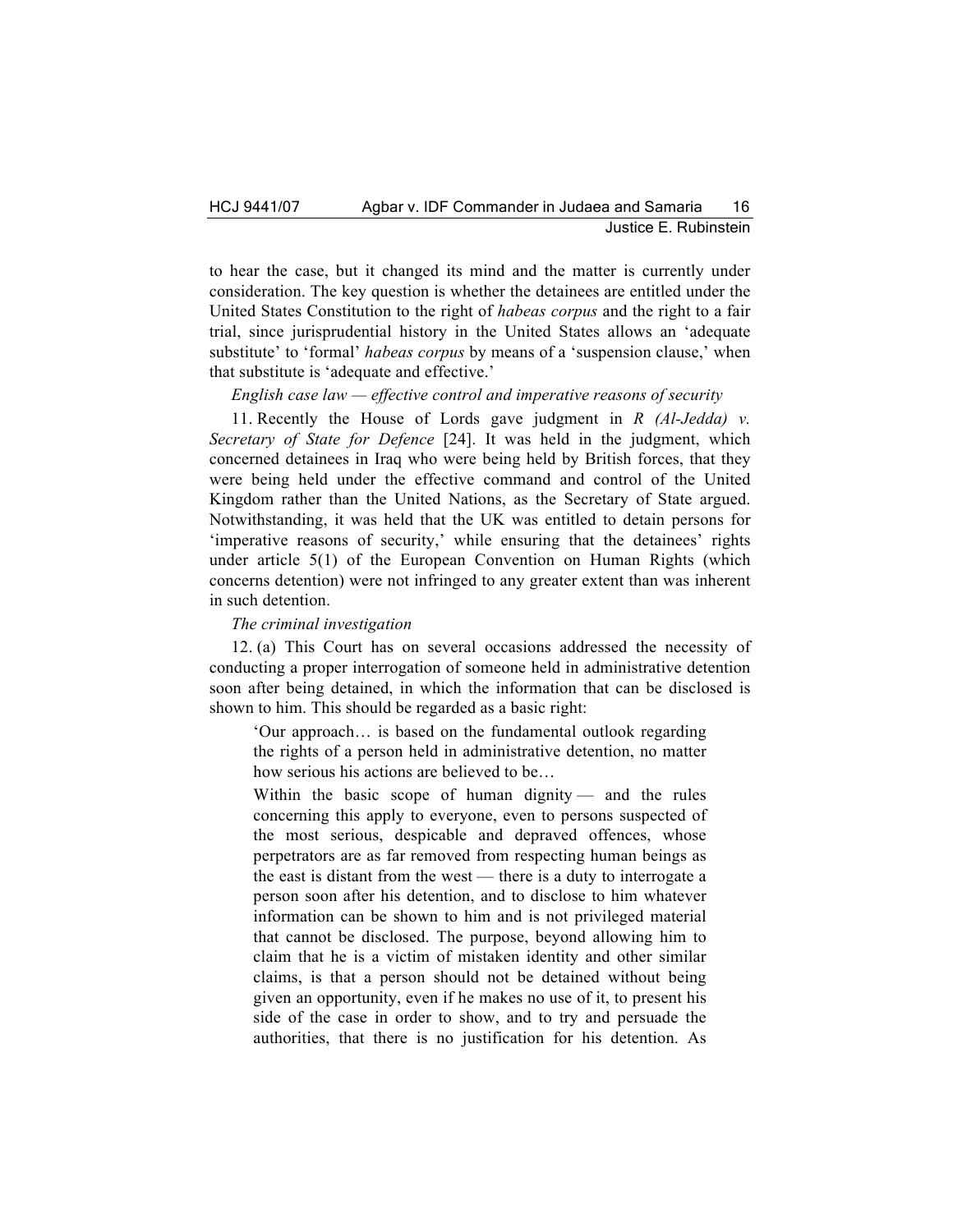to hear the case, but it changed its mind and the matter is currently under consideration. The key question is whether the detainees are entitled under the United States Constitution to the right of *habeas corpus* and the right to a fair trial, since jurisprudential history in the United States allows an 'adequate substitute' to 'formal' *habeas corpus* by means of a 'suspension clause,' when that substitute is 'adequate and effective.'

*English case law — effective control and imperative reasons of security*

11. Recently the House of Lords gave judgment in *R (Al-Jedda) v. Secretary of State for Defence* [24]. It was held in the judgment, which concerned detainees in Iraq who were being held by British forces, that they were being held under the effective command and control of the United Kingdom rather than the United Nations, as the Secretary of State argued. Notwithstanding, it was held that the UK was entitled to detain persons for 'imperative reasons of security,' while ensuring that the detainees' rights under article 5(1) of the European Convention on Human Rights (which concerns detention) were not infringed to any greater extent than was inherent in such detention.

## *The criminal investigation*

12. (a) This Court has on several occasions addressed the necessity of conducting a proper interrogation of someone held in administrative detention soon after being detained, in which the information that can be disclosed is shown to him. This should be regarded as a basic right:

'Our approach… is based on the fundamental outlook regarding the rights of a person held in administrative detention, no matter how serious his actions are believed to be…

Within the basic scope of human dignity — and the rules concerning this apply to everyone, even to persons suspected of the most serious, despicable and depraved offences, whose perpetrators are as far removed from respecting human beings as the east is distant from the west — there is a duty to interrogate a person soon after his detention, and to disclose to him whatever information can be shown to him and is not privileged material that cannot be disclosed. The purpose, beyond allowing him to claim that he is a victim of mistaken identity and other similar claims, is that a person should not be detained without being given an opportunity, even if he makes no use of it, to present his side of the case in order to show, and to try and persuade the authorities, that there is no justification for his detention. As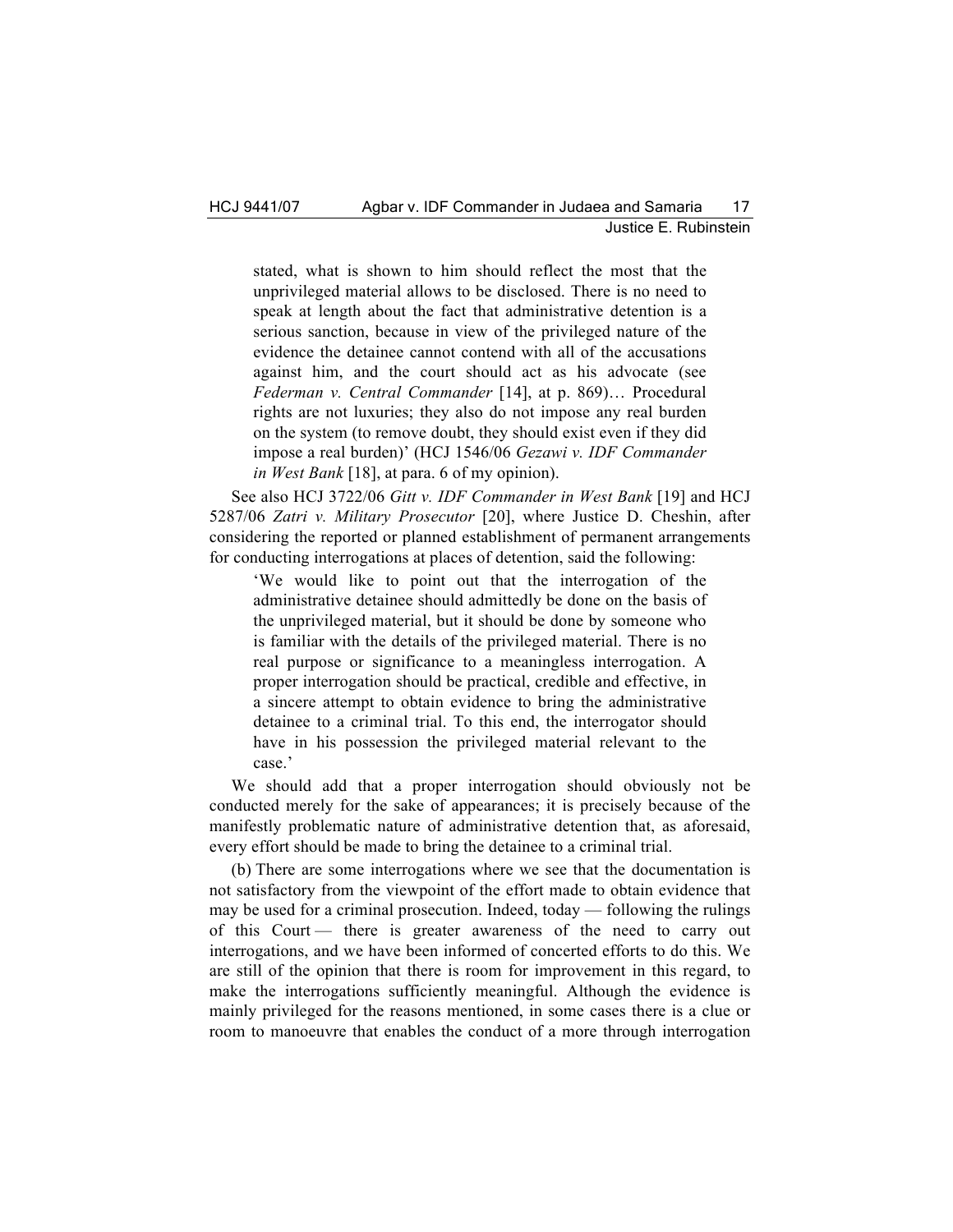stated, what is shown to him should reflect the most that the unprivileged material allows to be disclosed. There is no need to speak at length about the fact that administrative detention is a serious sanction, because in view of the privileged nature of the evidence the detainee cannot contend with all of the accusations against him, and the court should act as his advocate (see *Federman v. Central Commander* [14], at p. 869)… Procedural rights are not luxuries; they also do not impose any real burden on the system (to remove doubt, they should exist even if they did impose a real burden)' (HCJ 1546/06 *Gezawi v. IDF Commander in West Bank* [18], at para. 6 of my opinion).

See also HCJ 3722/06 *Gitt v. IDF Commander in West Bank* [19] and HCJ 5287/06 *Zatri v. Military Prosecutor* [20], where Justice D. Cheshin, after considering the reported or planned establishment of permanent arrangements for conducting interrogations at places of detention, said the following:

'We would like to point out that the interrogation of the administrative detainee should admittedly be done on the basis of the unprivileged material, but it should be done by someone who is familiar with the details of the privileged material. There is no real purpose or significance to a meaningless interrogation. A proper interrogation should be practical, credible and effective, in a sincere attempt to obtain evidence to bring the administrative detainee to a criminal trial. To this end, the interrogator should have in his possession the privileged material relevant to the case.'

We should add that a proper interrogation should obviously not be conducted merely for the sake of appearances; it is precisely because of the manifestly problematic nature of administrative detention that, as aforesaid, every effort should be made to bring the detainee to a criminal trial.

(b) There are some interrogations where we see that the documentation is not satisfactory from the viewpoint of the effort made to obtain evidence that may be used for a criminal prosecution. Indeed, today — following the rulings of this Court — there is greater awareness of the need to carry out interrogations, and we have been informed of concerted efforts to do this. We are still of the opinion that there is room for improvement in this regard, to make the interrogations sufficiently meaningful. Although the evidence is mainly privileged for the reasons mentioned, in some cases there is a clue or room to manoeuvre that enables the conduct of a more through interrogation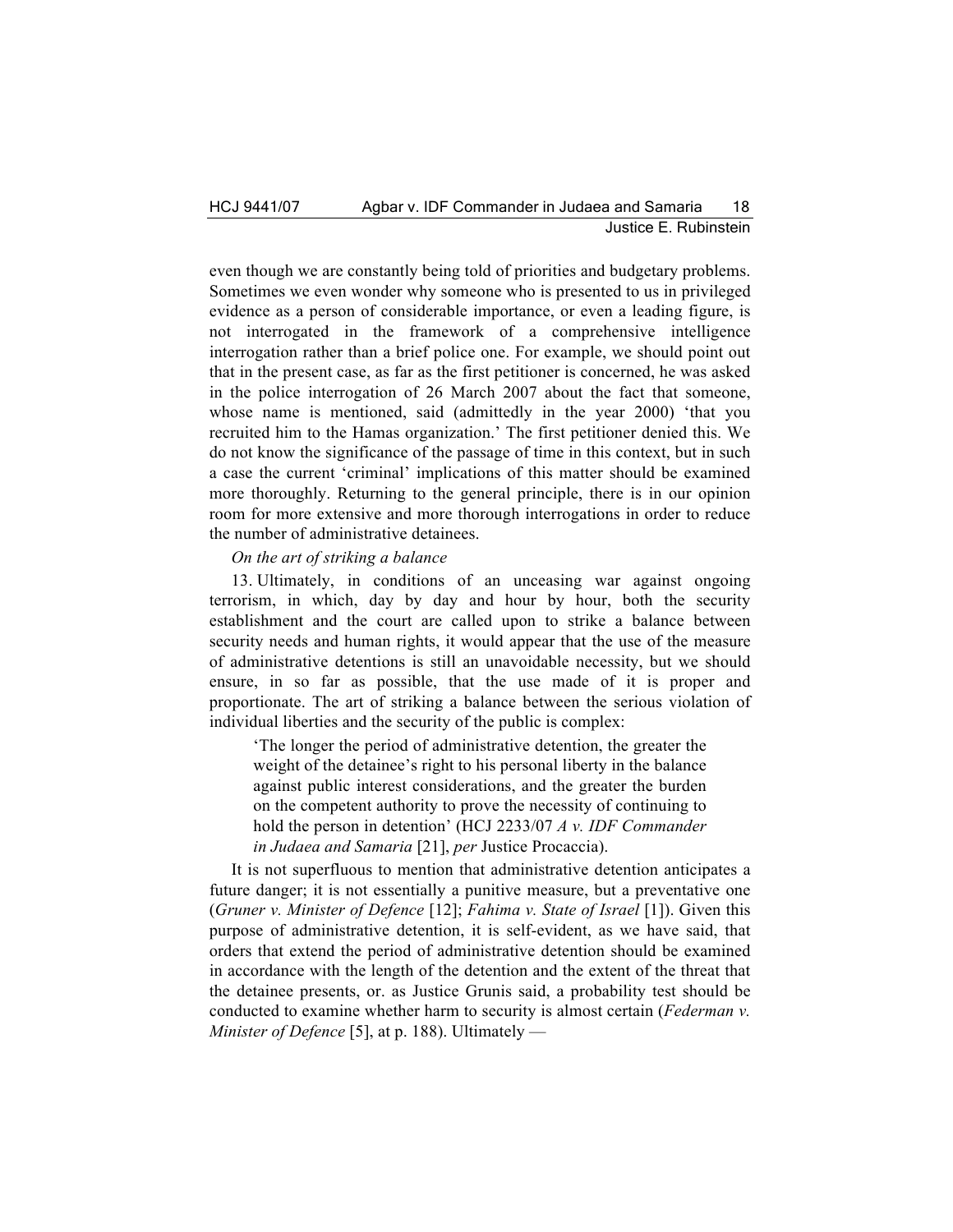even though we are constantly being told of priorities and budgetary problems. Sometimes we even wonder why someone who is presented to us in privileged evidence as a person of considerable importance, or even a leading figure, is not interrogated in the framework of a comprehensive intelligence interrogation rather than a brief police one. For example, we should point out that in the present case, as far as the first petitioner is concerned, he was asked in the police interrogation of 26 March 2007 about the fact that someone, whose name is mentioned, said (admittedly in the year 2000) 'that you recruited him to the Hamas organization.' The first petitioner denied this. We do not know the significance of the passage of time in this context, but in such a case the current 'criminal' implications of this matter should be examined more thoroughly. Returning to the general principle, there is in our opinion room for more extensive and more thorough interrogations in order to reduce the number of administrative detainees.

## *On the art of striking a balance*

13. Ultimately, in conditions of an unceasing war against ongoing terrorism, in which, day by day and hour by hour, both the security establishment and the court are called upon to strike a balance between security needs and human rights, it would appear that the use of the measure of administrative detentions is still an unavoidable necessity, but we should ensure, in so far as possible, that the use made of it is proper and proportionate. The art of striking a balance between the serious violation of individual liberties and the security of the public is complex:

'The longer the period of administrative detention, the greater the weight of the detainee's right to his personal liberty in the balance against public interest considerations, and the greater the burden on the competent authority to prove the necessity of continuing to hold the person in detention' (HCJ 2233/07 *A v. IDF Commander in Judaea and Samaria* [21], *per* Justice Procaccia).

It is not superfluous to mention that administrative detention anticipates a future danger; it is not essentially a punitive measure, but a preventative one (*Gruner v. Minister of Defence* [12]; *Fahima v. State of Israel* [1]). Given this purpose of administrative detention, it is self-evident, as we have said, that orders that extend the period of administrative detention should be examined in accordance with the length of the detention and the extent of the threat that the detainee presents, or. as Justice Grunis said, a probability test should be conducted to examine whether harm to security is almost certain (*Federman v. Minister of Defence* [5], at p. 188). Ultimately —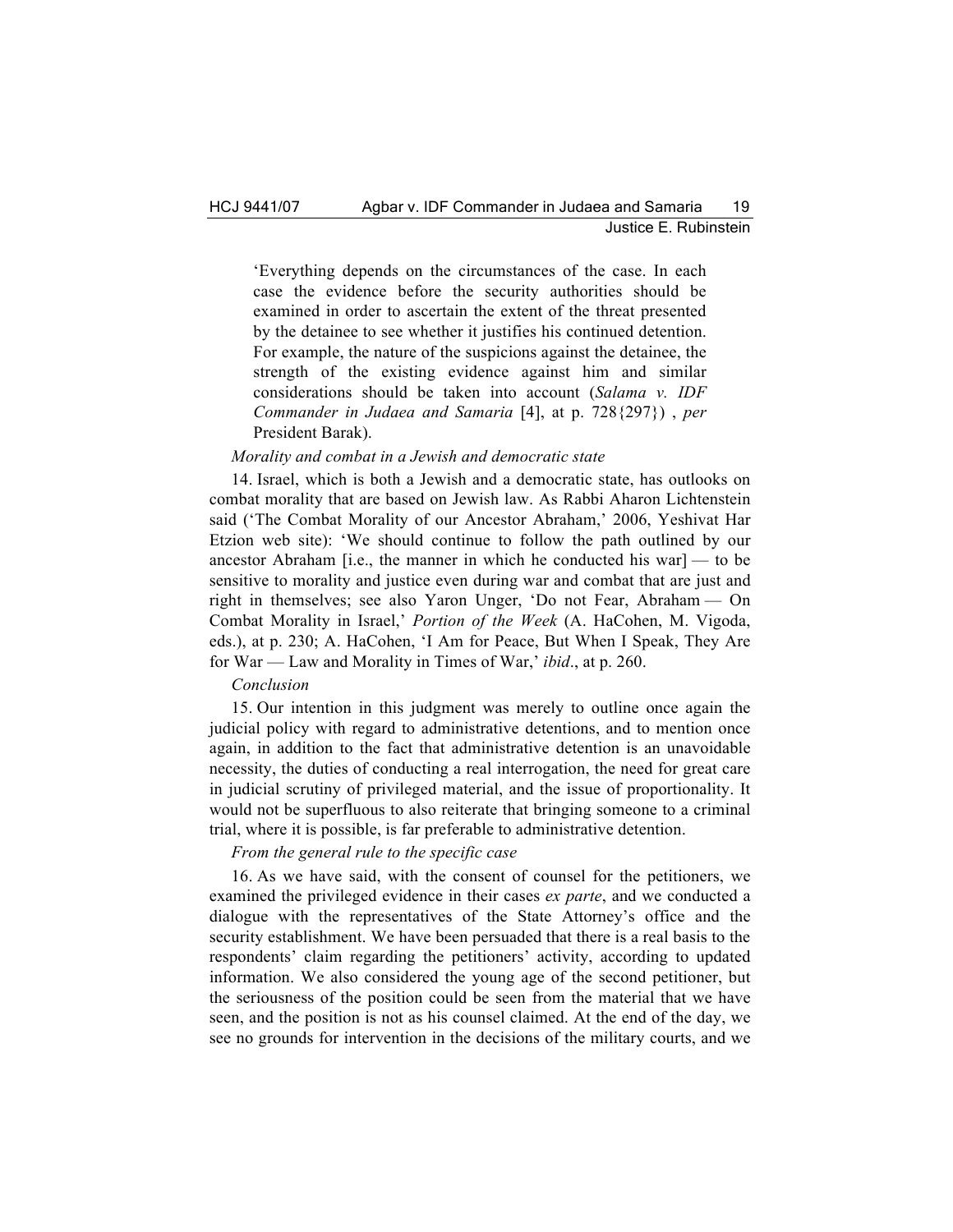'Everything depends on the circumstances of the case. In each case the evidence before the security authorities should be examined in order to ascertain the extent of the threat presented by the detainee to see whether it justifies his continued detention. For example, the nature of the suspicions against the detainee, the strength of the existing evidence against him and similar considerations should be taken into account (*Salama v. IDF Commander in Judaea and Samaria* [4], at p. 728{297}) , *per*  President Barak).

## *Morality and combat in a Jewish and democratic state*

14. Israel, which is both a Jewish and a democratic state, has outlooks on combat morality that are based on Jewish law. As Rabbi Aharon Lichtenstein said ('The Combat Morality of our Ancestor Abraham,' 2006, Yeshivat Har Etzion web site): 'We should continue to follow the path outlined by our ancestor Abraham [i.e., the manner in which he conducted his war]  $-$  to be sensitive to morality and justice even during war and combat that are just and right in themselves; see also Yaron Unger, 'Do not Fear, Abraham — On Combat Morality in Israel,' *Portion of the Week* (A. HaCohen, M. Vigoda, eds.), at p. 230; A. HaCohen, 'I Am for Peace, But When I Speak, They Are for War — Law and Morality in Times of War,' *ibid*., at p. 260.

### *Conclusion*

15. Our intention in this judgment was merely to outline once again the judicial policy with regard to administrative detentions, and to mention once again, in addition to the fact that administrative detention is an unavoidable necessity, the duties of conducting a real interrogation, the need for great care in judicial scrutiny of privileged material, and the issue of proportionality. It would not be superfluous to also reiterate that bringing someone to a criminal trial, where it is possible, is far preferable to administrative detention.

#### *From the general rule to the specific case*

16. As we have said, with the consent of counsel for the petitioners, we examined the privileged evidence in their cases *ex parte*, and we conducted a dialogue with the representatives of the State Attorney's office and the security establishment. We have been persuaded that there is a real basis to the respondents' claim regarding the petitioners' activity, according to updated information. We also considered the young age of the second petitioner, but the seriousness of the position could be seen from the material that we have seen, and the position is not as his counsel claimed. At the end of the day, we see no grounds for intervention in the decisions of the military courts, and we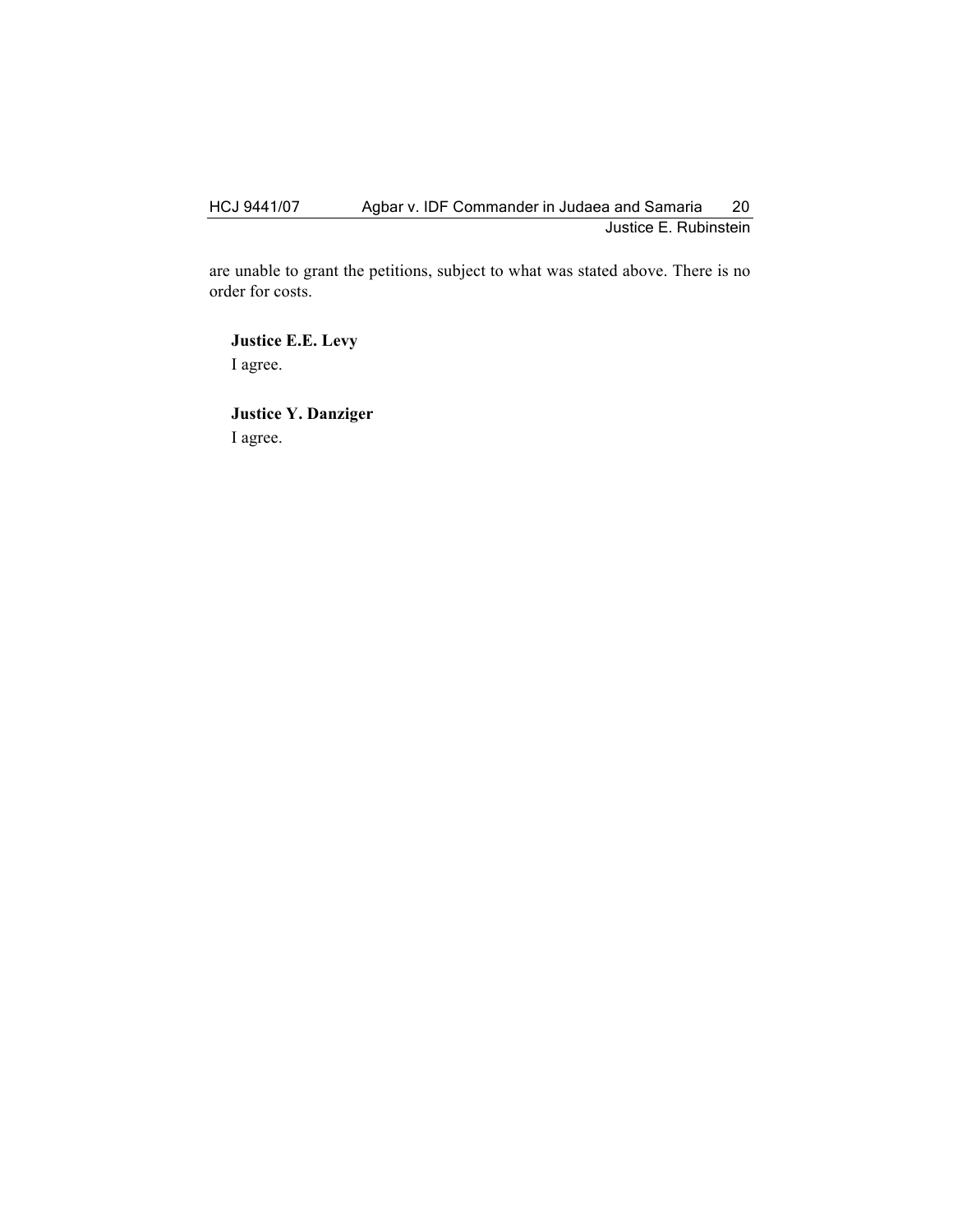# HCJ 9441/07 Agbar v. IDF Commander in Judaea and Samaria 20 Justice E. Rubinstein

are unable to grant the petitions, subject to what was stated above. There is no order for costs.

**Justice E.E. Levy** I agree.

**Justice Y. Danziger** I agree.